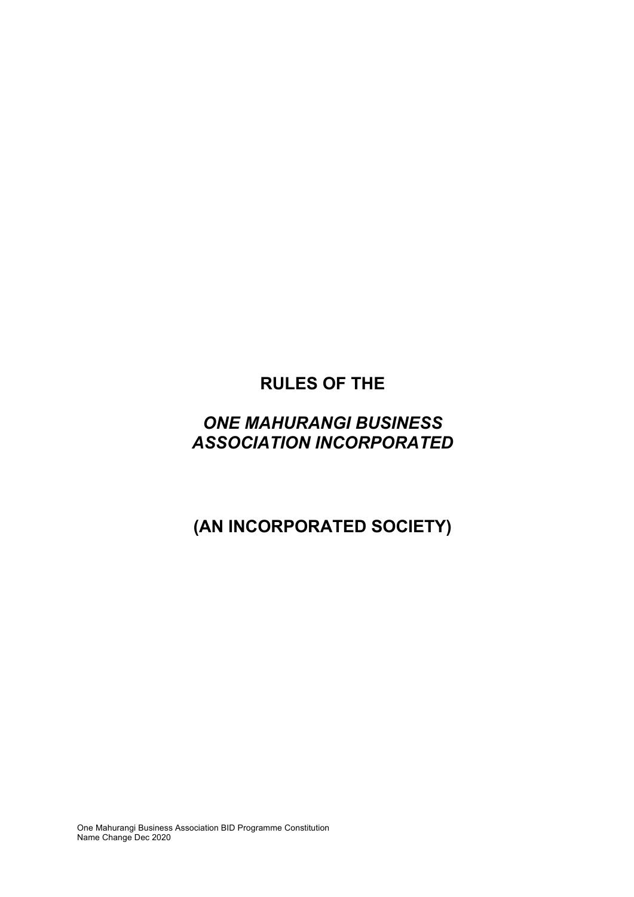# **RULES OF THE**

# *ONE MAHURANGI BUSINESS ASSOCIATION INCORPORATED*

# **(AN INCORPORATED SOCIETY)**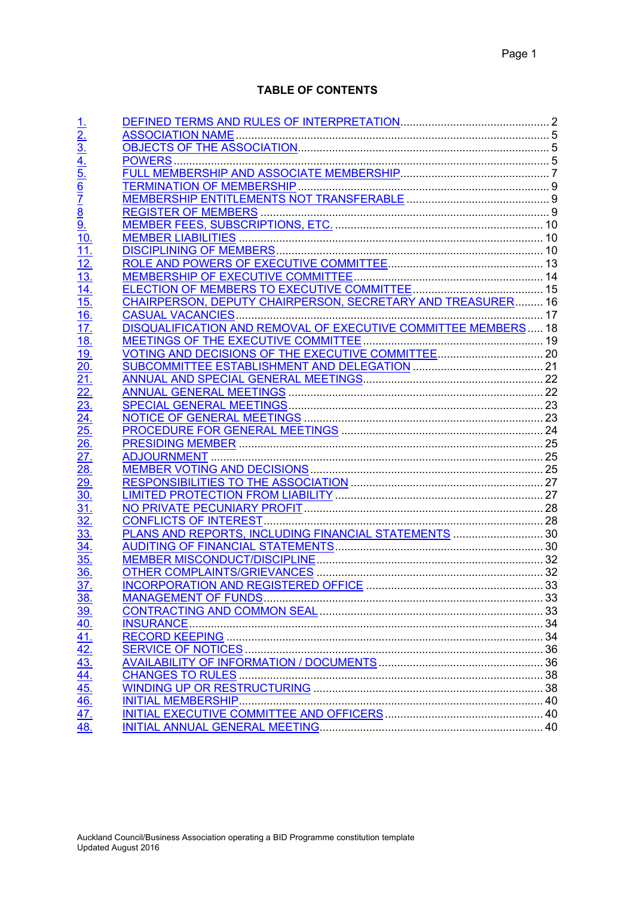# **TABLE OF CONTENTS**

| $\frac{1}{2}$<br>$\frac{2}{3}$<br>$\frac{4}{4}$<br>$\frac{5}{5}$<br>$\frac{6}{7}$<br>$\frac{7}{8}$<br>$\frac{8}{9}$<br>$\frac{9}{10}$<br>$\overline{11}$<br>12<br>$\overline{13}$<br>$\overline{14}$<br>$\overline{15}$<br>CHAIRPERSON, DEPUTY CHAIRPERSON, SECRETARY AND TREASURER 16<br>$\underline{16}$ .<br>17.<br>$\underline{18}$ .<br><u>19.</u><br>20.<br>21.<br>$\frac{22}{23}$<br>$\frac{23}{24}$<br>$\frac{24}{25}$<br>$\overline{26}$<br>27.<br><u>28.</u><br>29.<br>30.<br>31.<br>32.<br>PLANS AND REPORTS, INCLUDING FINANCIAL STATEMENTS  30<br>33.<br>34<br>35.<br>36.<br>37.<br><u>38.</u><br><u>39.</u><br>$\frac{40.41}{42.43}$ $\frac{42.31}{44.41}$ $\frac{46.471}{47.41}$<br><b>INITIAL MEMBERSHIP.</b> |  |  |
|-------------------------------------------------------------------------------------------------------------------------------------------------------------------------------------------------------------------------------------------------------------------------------------------------------------------------------------------------------------------------------------------------------------------------------------------------------------------------------------------------------------------------------------------------------------------------------------------------------------------------------------------------------------------------------------------------------------------------------|--|--|
|                                                                                                                                                                                                                                                                                                                                                                                                                                                                                                                                                                                                                                                                                                                               |  |  |
|                                                                                                                                                                                                                                                                                                                                                                                                                                                                                                                                                                                                                                                                                                                               |  |  |
|                                                                                                                                                                                                                                                                                                                                                                                                                                                                                                                                                                                                                                                                                                                               |  |  |
|                                                                                                                                                                                                                                                                                                                                                                                                                                                                                                                                                                                                                                                                                                                               |  |  |
|                                                                                                                                                                                                                                                                                                                                                                                                                                                                                                                                                                                                                                                                                                                               |  |  |
|                                                                                                                                                                                                                                                                                                                                                                                                                                                                                                                                                                                                                                                                                                                               |  |  |
|                                                                                                                                                                                                                                                                                                                                                                                                                                                                                                                                                                                                                                                                                                                               |  |  |
|                                                                                                                                                                                                                                                                                                                                                                                                                                                                                                                                                                                                                                                                                                                               |  |  |
|                                                                                                                                                                                                                                                                                                                                                                                                                                                                                                                                                                                                                                                                                                                               |  |  |
|                                                                                                                                                                                                                                                                                                                                                                                                                                                                                                                                                                                                                                                                                                                               |  |  |
|                                                                                                                                                                                                                                                                                                                                                                                                                                                                                                                                                                                                                                                                                                                               |  |  |
|                                                                                                                                                                                                                                                                                                                                                                                                                                                                                                                                                                                                                                                                                                                               |  |  |
|                                                                                                                                                                                                                                                                                                                                                                                                                                                                                                                                                                                                                                                                                                                               |  |  |
|                                                                                                                                                                                                                                                                                                                                                                                                                                                                                                                                                                                                                                                                                                                               |  |  |
|                                                                                                                                                                                                                                                                                                                                                                                                                                                                                                                                                                                                                                                                                                                               |  |  |
|                                                                                                                                                                                                                                                                                                                                                                                                                                                                                                                                                                                                                                                                                                                               |  |  |
|                                                                                                                                                                                                                                                                                                                                                                                                                                                                                                                                                                                                                                                                                                                               |  |  |
|                                                                                                                                                                                                                                                                                                                                                                                                                                                                                                                                                                                                                                                                                                                               |  |  |
|                                                                                                                                                                                                                                                                                                                                                                                                                                                                                                                                                                                                                                                                                                                               |  |  |
|                                                                                                                                                                                                                                                                                                                                                                                                                                                                                                                                                                                                                                                                                                                               |  |  |
|                                                                                                                                                                                                                                                                                                                                                                                                                                                                                                                                                                                                                                                                                                                               |  |  |
|                                                                                                                                                                                                                                                                                                                                                                                                                                                                                                                                                                                                                                                                                                                               |  |  |
|                                                                                                                                                                                                                                                                                                                                                                                                                                                                                                                                                                                                                                                                                                                               |  |  |
|                                                                                                                                                                                                                                                                                                                                                                                                                                                                                                                                                                                                                                                                                                                               |  |  |
|                                                                                                                                                                                                                                                                                                                                                                                                                                                                                                                                                                                                                                                                                                                               |  |  |
|                                                                                                                                                                                                                                                                                                                                                                                                                                                                                                                                                                                                                                                                                                                               |  |  |
|                                                                                                                                                                                                                                                                                                                                                                                                                                                                                                                                                                                                                                                                                                                               |  |  |
|                                                                                                                                                                                                                                                                                                                                                                                                                                                                                                                                                                                                                                                                                                                               |  |  |
|                                                                                                                                                                                                                                                                                                                                                                                                                                                                                                                                                                                                                                                                                                                               |  |  |
|                                                                                                                                                                                                                                                                                                                                                                                                                                                                                                                                                                                                                                                                                                                               |  |  |
|                                                                                                                                                                                                                                                                                                                                                                                                                                                                                                                                                                                                                                                                                                                               |  |  |
|                                                                                                                                                                                                                                                                                                                                                                                                                                                                                                                                                                                                                                                                                                                               |  |  |
|                                                                                                                                                                                                                                                                                                                                                                                                                                                                                                                                                                                                                                                                                                                               |  |  |
|                                                                                                                                                                                                                                                                                                                                                                                                                                                                                                                                                                                                                                                                                                                               |  |  |
|                                                                                                                                                                                                                                                                                                                                                                                                                                                                                                                                                                                                                                                                                                                               |  |  |
|                                                                                                                                                                                                                                                                                                                                                                                                                                                                                                                                                                                                                                                                                                                               |  |  |
|                                                                                                                                                                                                                                                                                                                                                                                                                                                                                                                                                                                                                                                                                                                               |  |  |
|                                                                                                                                                                                                                                                                                                                                                                                                                                                                                                                                                                                                                                                                                                                               |  |  |
|                                                                                                                                                                                                                                                                                                                                                                                                                                                                                                                                                                                                                                                                                                                               |  |  |
|                                                                                                                                                                                                                                                                                                                                                                                                                                                                                                                                                                                                                                                                                                                               |  |  |
|                                                                                                                                                                                                                                                                                                                                                                                                                                                                                                                                                                                                                                                                                                                               |  |  |
|                                                                                                                                                                                                                                                                                                                                                                                                                                                                                                                                                                                                                                                                                                                               |  |  |
|                                                                                                                                                                                                                                                                                                                                                                                                                                                                                                                                                                                                                                                                                                                               |  |  |
|                                                                                                                                                                                                                                                                                                                                                                                                                                                                                                                                                                                                                                                                                                                               |  |  |
|                                                                                                                                                                                                                                                                                                                                                                                                                                                                                                                                                                                                                                                                                                                               |  |  |
|                                                                                                                                                                                                                                                                                                                                                                                                                                                                                                                                                                                                                                                                                                                               |  |  |
| 48.                                                                                                                                                                                                                                                                                                                                                                                                                                                                                                                                                                                                                                                                                                                           |  |  |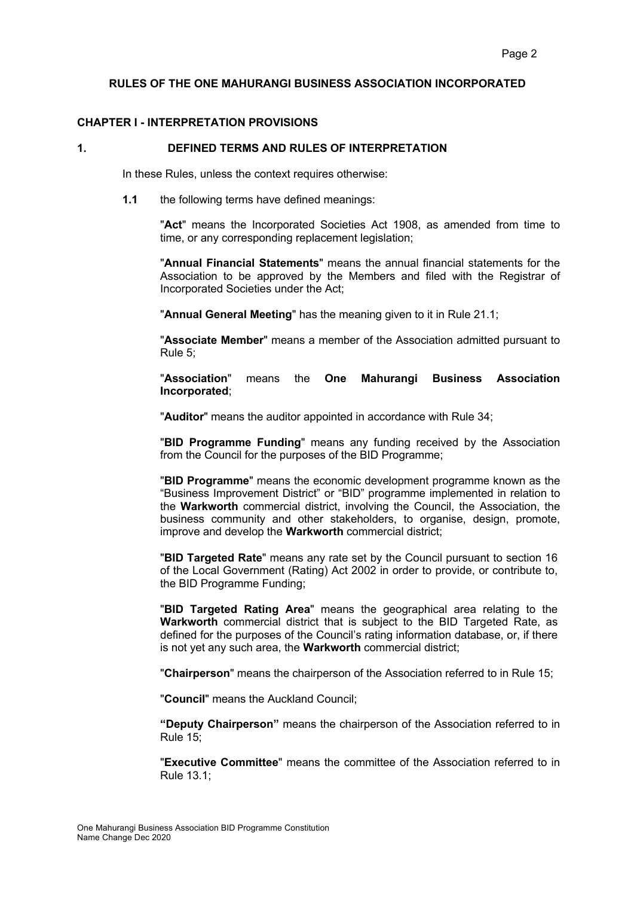#### **RULES OF THE ONE MAHURANGI BUSINESS ASSOCIATION INCORPORATED**

## **CHAPTER I - INTERPRETATION PROVISIONS**

#### **1. DEFINED TERMS AND RULES OF INTERPRETATION**

In these Rules, unless the context requires otherwise:

**1.1** the following terms have defined meanings:

"**Act**" means the Incorporated Societies Act 1908, as amended from time to time, or any corresponding replacement legislation;

"**Annual Financial Statements**" means the annual financial statements for the Association to be approved by the Members and filed with the Registrar of Incorporated Societies under the Act;

"**Annual General Meeting**" has the meaning given to it in Rule 21.1;

"**Associate Member**" means a member of the Association admitted pursuant to Rule 5;

"**Association**" means the **One Mahurangi Business Association Incorporated**;

"**Auditor**" means the auditor appointed in accordance with Rule 34;

"**BID Programme Funding**" means any funding received by the Association from the Council for the purposes of the BID Programme;

"**BID Programme**" means the economic development programme known as the "Business Improvement District" or "BID" programme implemented in relation to the **Warkworth** commercial district, involving the Council, the Association, the business community and other stakeholders, to organise, design, promote, improve and develop the **Warkworth** commercial district;

"**BID Targeted Rate**" means any rate set by the Council pursuant to section 16 of the Local Government (Rating) Act 2002 in order to provide, or contribute to, the BID Programme Funding;

"**BID Targeted Rating Area**" means the geographical area relating to the **Warkworth** commercial district that is subject to the BID Targeted Rate, as defined for the purposes of the Council's rating information database, or, if there is not yet any such area, the **Warkworth** commercial district;

"**Chairperson**" means the chairperson of the Association referred to in Rule 15;

"**Council**" means the Auckland Council;

**"Deputy Chairperson"** means the chairperson of the Association referred to in Rule 15;

"**Executive Committee**" means the committee of the Association referred to in Rule 13.1;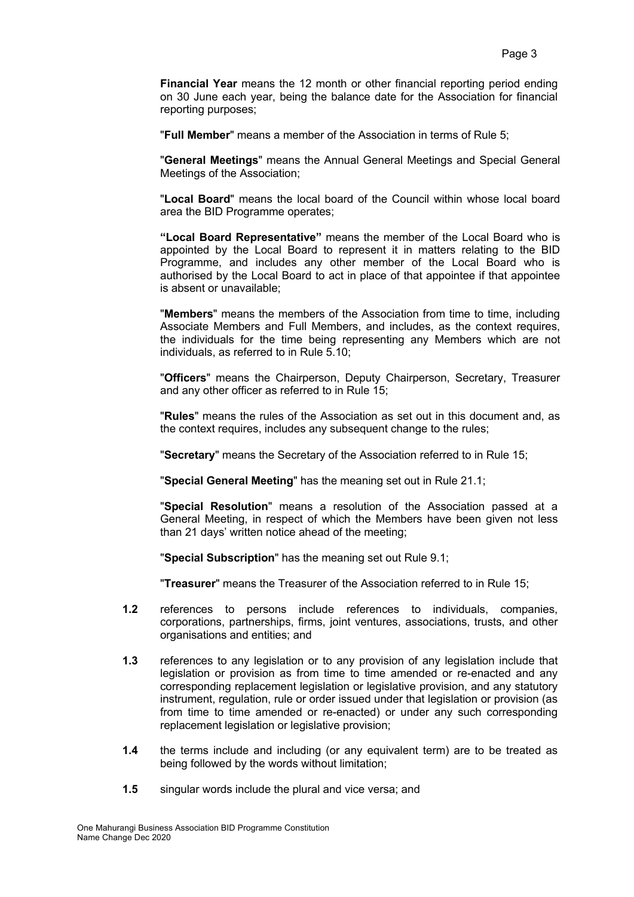**Financial Year** means the 12 month or other financial reporting period ending on 30 June each year, being the balance date for the Association for financial reporting purposes;

"**Full Member**" means a member of the Association in terms of Rule 5;

"**General Meetings**" means the Annual General Meetings and Special General Meetings of the Association;

"**Local Board**" means the local board of the Council within whose local board area the BID Programme operates;

**"Local Board Representative"** means the member of the Local Board who is appointed by the Local Board to represent it in matters relating to the BID Programme, and includes any other member of the Local Board who is authorised by the Local Board to act in place of that appointee if that appointee is absent or unavailable;

"**Members**" means the members of the Association from time to time, including Associate Members and Full Members, and includes, as the context requires, the individuals for the time being representing any Members which are not individuals, as referred to in Rule 5.10;

"**Officers**" means the Chairperson, Deputy Chairperson, Secretary, Treasurer and any other officer as referred to in Rule 15;

"**Rules**" means the rules of the Association as set out in this document and, as the context requires, includes any subsequent change to the rules;

"**Secretary**" means the Secretary of the Association referred to in Rule 15;

"**Special General Meeting**" has the meaning set out in Rule 21.1;

"**Special Resolution**" means a resolution of the Association passed at a General Meeting, in respect of which the Members have been given not less than 21 days' written notice ahead of the meeting;

"**Special Subscription**" has the meaning set out Rule 9.1;

"**Treasurer**" means the Treasurer of the Association referred to in Rule 15;

- **1.2** references to persons include references to individuals, companies, corporations, partnerships, firms, joint ventures, associations, trusts, and other organisations and entities; and
- **1.3** references to any legislation or to any provision of any legislation include that legislation or provision as from time to time amended or re-enacted and any corresponding replacement legislation or legislative provision, and any statutory instrument, regulation, rule or order issued under that legislation or provision (as from time to time amended or re-enacted) or under any such corresponding replacement legislation or legislative provision;
- **1.4** the terms include and including (or any equivalent term) are to be treated as being followed by the words without limitation;
- **1.5** singular words include the plural and vice versa; and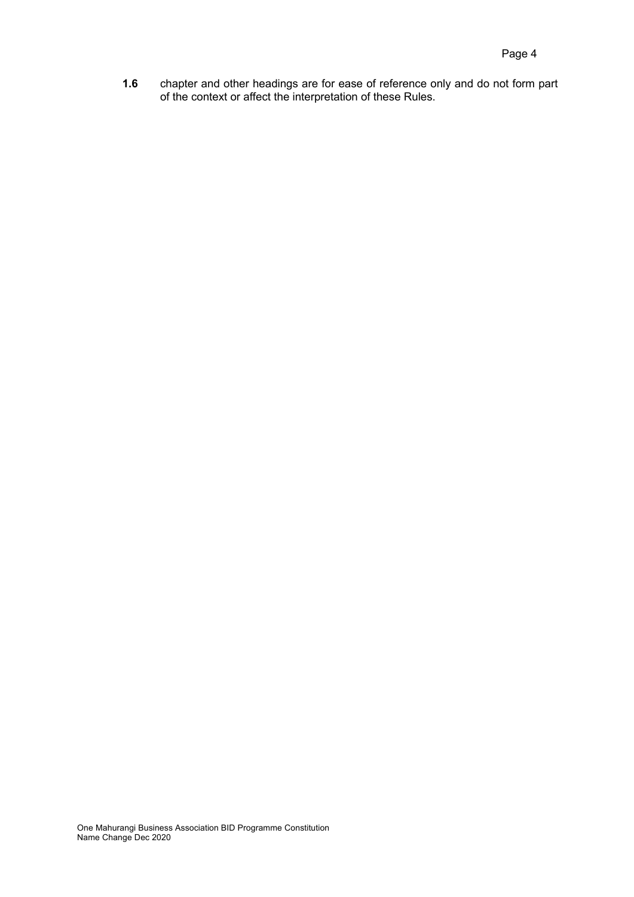**1.6** chapter and other headings are for ease of reference only and do not form part of the context or affect the interpretation of these Rules.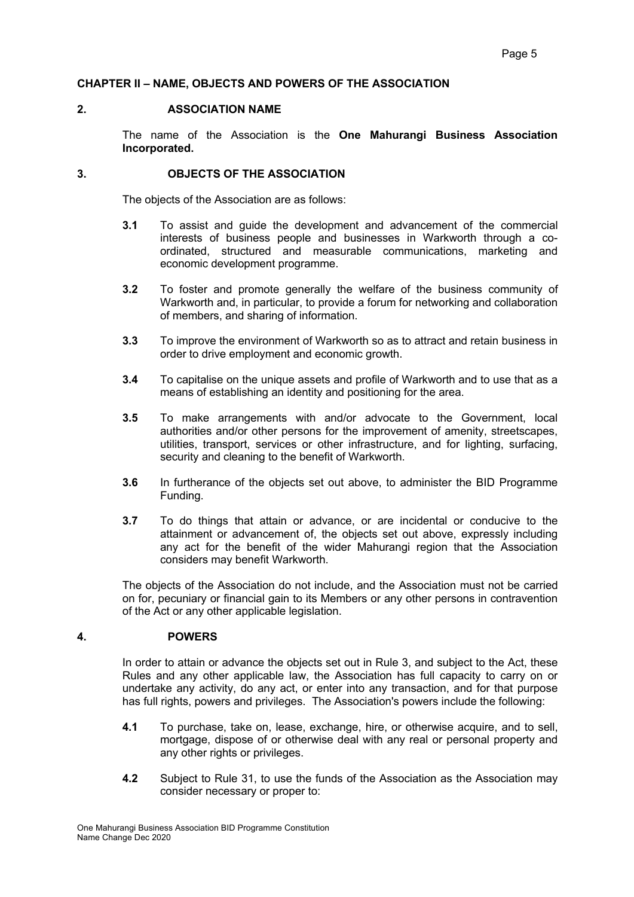# **CHAPTER II – NAME, OBJECTS AND POWERS OF THE ASSOCIATION**

## **2. ASSOCIATION NAME**

The name of the Association is the **One Mahurangi Business Association Incorporated.** 

# **3. OBJECTS OF THE ASSOCIATION**

The objects of the Association are as follows:

- **3.1** To assist and guide the development and advancement of the commercial interests of business people and businesses in Warkworth through a coordinated, structured and measurable communications, marketing and economic development programme.
- **3.2** To foster and promote generally the welfare of the business community of Warkworth and, in particular, to provide a forum for networking and collaboration of members, and sharing of information.
- **3.3** To improve the environment of Warkworth so as to attract and retain business in order to drive employment and economic growth.
- **3.4** To capitalise on the unique assets and profile of Warkworth and to use that as a means of establishing an identity and positioning for the area.
- **3.5** To make arrangements with and/or advocate to the Government, local authorities and/or other persons for the improvement of amenity, streetscapes, utilities, transport, services or other infrastructure, and for lighting, surfacing, security and cleaning to the benefit of Warkworth.
- **3.6** In furtherance of the objects set out above, to administer the BID Programme Funding.
- **3.7** To do things that attain or advance, or are incidental or conducive to the attainment or advancement of, the objects set out above, expressly including any act for the benefit of the wider Mahurangi region that the Association considers may benefit Warkworth.

The objects of the Association do not include, and the Association must not be carried on for, pecuniary or financial gain to its Members or any other persons in contravention of the Act or any other applicable legislation.

## **4. POWERS**

In order to attain or advance the objects set out in Rule 3, and subject to the Act, these Rules and any other applicable law, the Association has full capacity to carry on or undertake any activity, do any act, or enter into any transaction, and for that purpose has full rights, powers and privileges. The Association's powers include the following:

- **4.1** To purchase, take on, lease, exchange, hire, or otherwise acquire, and to sell, mortgage, dispose of or otherwise deal with any real or personal property and any other rights or privileges.
- **4.2** Subject to Rule 31, to use the funds of the Association as the Association may consider necessary or proper to: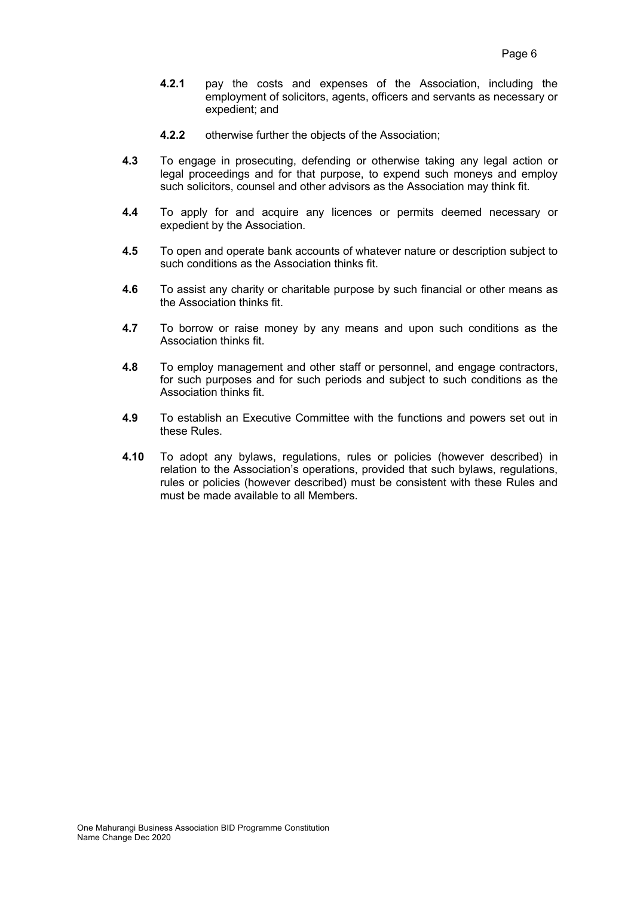- **4.2.1** pay the costs and expenses of the Association, including the employment of solicitors, agents, officers and servants as necessary or expedient; and
- **4.2.2** otherwise further the objects of the Association;
- **4.3** To engage in prosecuting, defending or otherwise taking any legal action or legal proceedings and for that purpose, to expend such moneys and employ such solicitors, counsel and other advisors as the Association may think fit.
- **4.4** To apply for and acquire any licences or permits deemed necessary or expedient by the Association.
- **4.5** To open and operate bank accounts of whatever nature or description subject to such conditions as the Association thinks fit.
- **4.6** To assist any charity or charitable purpose by such financial or other means as the Association thinks fit.
- **4.7** To borrow or raise money by any means and upon such conditions as the Association thinks fit.
- **4.8** To employ management and other staff or personnel, and engage contractors, for such purposes and for such periods and subject to such conditions as the Association thinks fit.
- **4.9** To establish an Executive Committee with the functions and powers set out in these Rules.
- **4.10** To adopt any bylaws, regulations, rules or policies (however described) in relation to the Association's operations, provided that such bylaws, regulations, rules or policies (however described) must be consistent with these Rules and must be made available to all Members.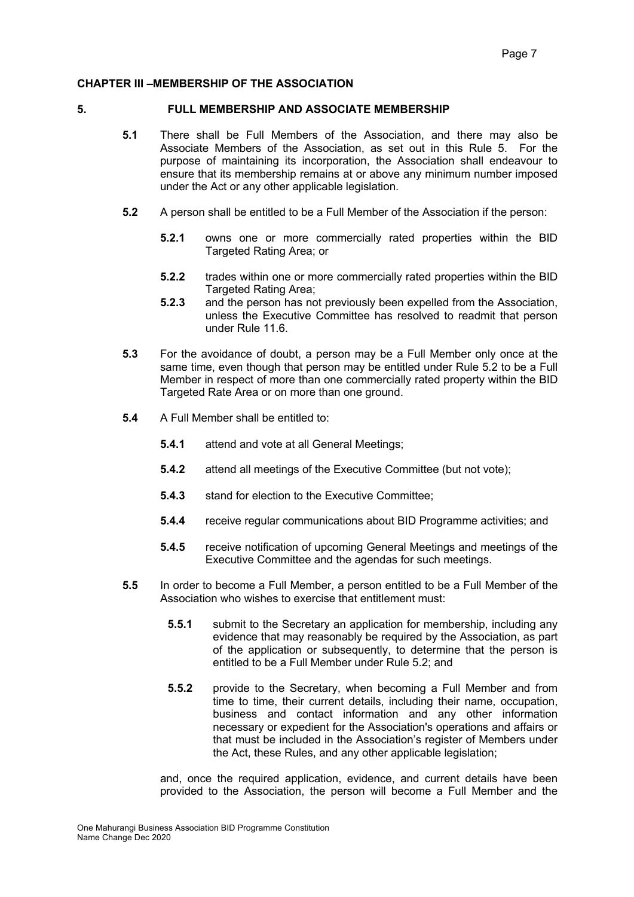#### **CHAPTER III –MEMBERSHIP OF THE ASSOCIATION**

#### **5. FULL MEMBERSHIP AND ASSOCIATE MEMBERSHIP**

- **5.1** There shall be Full Members of the Association, and there may also be Associate Members of the Association, as set out in this Rule 5. For the purpose of maintaining its incorporation, the Association shall endeavour to ensure that its membership remains at or above any minimum number imposed under the Act or any other applicable legislation.
- **5.2** A person shall be entitled to be a Full Member of the Association if the person:
	- **5.2.1** owns one or more commercially rated properties within the BID Targeted Rating Area; or
	- **5.2.2** trades within one or more commercially rated properties within the BID Targeted Rating Area:
	- **5.2.3** and the person has not previously been expelled from the Association, unless the Executive Committee has resolved to readmit that person under Rule 11.6.
- **5.3** For the avoidance of doubt, a person may be a Full Member only once at the same time, even though that person may be entitled under Rule 5.2 to be a Full Member in respect of more than one commercially rated property within the BID Targeted Rate Area or on more than one ground.
- **5.4** A Full Member shall be entitled to:
	- **5.4.1** attend and vote at all General Meetings;
	- **5.4.2** attend all meetings of the Executive Committee (but not vote);
	- **5.4.3** stand for election to the Executive Committee;
	- **5.4.4** receive regular communications about BID Programme activities; and
	- **5.4.5** receive notification of upcoming General Meetings and meetings of the Executive Committee and the agendas for such meetings.
- **5.5** In order to become a Full Member, a person entitled to be a Full Member of the Association who wishes to exercise that entitlement must:
	- **5.5.1** submit to the Secretary an application for membership, including any evidence that may reasonably be required by the Association, as part of the application or subsequently, to determine that the person is entitled to be a Full Member under Rule 5.2; and
	- **5.5.2** provide to the Secretary, when becoming a Full Member and from time to time, their current details, including their name, occupation, business and contact information and any other information necessary or expedient for the Association's operations and affairs or that must be included in the Association's register of Members under the Act, these Rules, and any other applicable legislation;

and, once the required application, evidence, and current details have been provided to the Association, the person will become a Full Member and the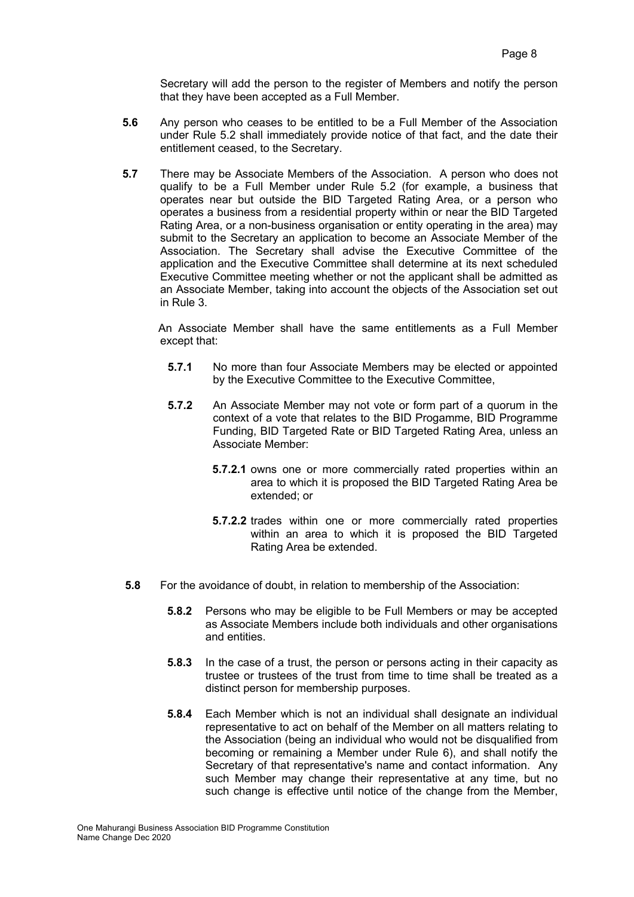Secretary will add the person to the register of Members and notify the person that they have been accepted as a Full Member.

- **5.6** Any person who ceases to be entitled to be a Full Member of the Association under Rule 5.2 shall immediately provide notice of that fact, and the date their entitlement ceased, to the Secretary.
- **5.7** There may be Associate Members of the Association. A person who does not qualify to be a Full Member under Rule 5.2 (for example, a business that operates near but outside the BID Targeted Rating Area, or a person who operates a business from a residential property within or near the BID Targeted Rating Area, or a non-business organisation or entity operating in the area) may submit to the Secretary an application to become an Associate Member of the Association. The Secretary shall advise the Executive Committee of the application and the Executive Committee shall determine at its next scheduled Executive Committee meeting whether or not the applicant shall be admitted as an Associate Member, taking into account the objects of the Association set out in Rule 3.

 An Associate Member shall have the same entitlements as a Full Member except that:

- **5.7.1** No more than four Associate Members may be elected or appointed by the Executive Committee to the Executive Committee,
- **5.7.2** An Associate Member may not vote or form part of a quorum in the context of a vote that relates to the BID Progamme, BID Programme Funding, BID Targeted Rate or BID Targeted Rating Area, unless an Associate Member:
	- **5.7.2.1** owns one or more commercially rated properties within an area to which it is proposed the BID Targeted Rating Area be extended; or
	- **5.7.2.2** trades within one or more commercially rated properties within an area to which it is proposed the BID Targeted Rating Area be extended.
- **5.8** For the avoidance of doubt, in relation to membership of the Association:
	- **5.8.2** Persons who may be eligible to be Full Members or may be accepted as Associate Members include both individuals and other organisations and entities.
	- **5.8.3** In the case of a trust, the person or persons acting in their capacity as trustee or trustees of the trust from time to time shall be treated as a distinct person for membership purposes.
	- **5.8.4** Each Member which is not an individual shall designate an individual representative to act on behalf of the Member on all matters relating to the Association (being an individual who would not be disqualified from becoming or remaining a Member under Rule 6), and shall notify the Secretary of that representative's name and contact information. Any such Member may change their representative at any time, but no such change is effective until notice of the change from the Member,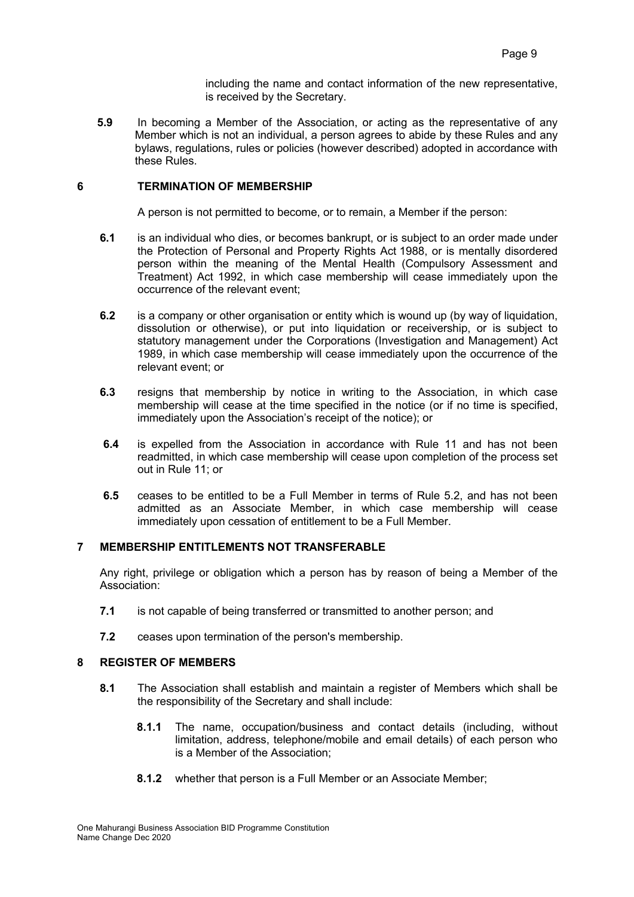including the name and contact information of the new representative, is received by the Secretary.

**5.9** In becoming a Member of the Association, or acting as the representative of any Member which is not an individual, a person agrees to abide by these Rules and any bylaws, regulations, rules or policies (however described) adopted in accordance with these Rules.

## **6 TERMINATION OF MEMBERSHIP**

A person is not permitted to become, or to remain, a Member if the person:

- **6.1** is an individual who dies, or becomes bankrupt, or is subject to an order made under the Protection of Personal and Property Rights Act 1988, or is mentally disordered person within the meaning of the Mental Health (Compulsory Assessment and Treatment) Act 1992, in which case membership will cease immediately upon the occurrence of the relevant event;
- **6.2** is a company or other organisation or entity which is wound up (by way of liquidation, dissolution or otherwise), or put into liquidation or receivership, or is subject to statutory management under the Corporations (Investigation and Management) Act 1989, in which case membership will cease immediately upon the occurrence of the relevant event; or
- **6.3** resigns that membership by notice in writing to the Association, in which case membership will cease at the time specified in the notice (or if no time is specified, immediately upon the Association's receipt of the notice); or
- **6.4** is expelled from the Association in accordance with Rule 11 and has not been readmitted, in which case membership will cease upon completion of the process set out in Rule 11; or
- **6.5** ceases to be entitled to be a Full Member in terms of Rule 5.2, and has not been admitted as an Associate Member, in which case membership will cease immediately upon cessation of entitlement to be a Full Member.

#### **7 MEMBERSHIP ENTITLEMENTS NOT TRANSFERABLE**

Any right, privilege or obligation which a person has by reason of being a Member of the Association:

- **7.1** is not capable of being transferred or transmitted to another person; and
- **7.2** ceases upon termination of the person's membership.

## **8 REGISTER OF MEMBERS**

- **8.1** The Association shall establish and maintain a register of Members which shall be the responsibility of the Secretary and shall include:
	- **8.1.1** The name, occupation/business and contact details (including, without limitation, address, telephone/mobile and email details) of each person who is a Member of the Association;
	- **8.1.2** whether that person is a Full Member or an Associate Member;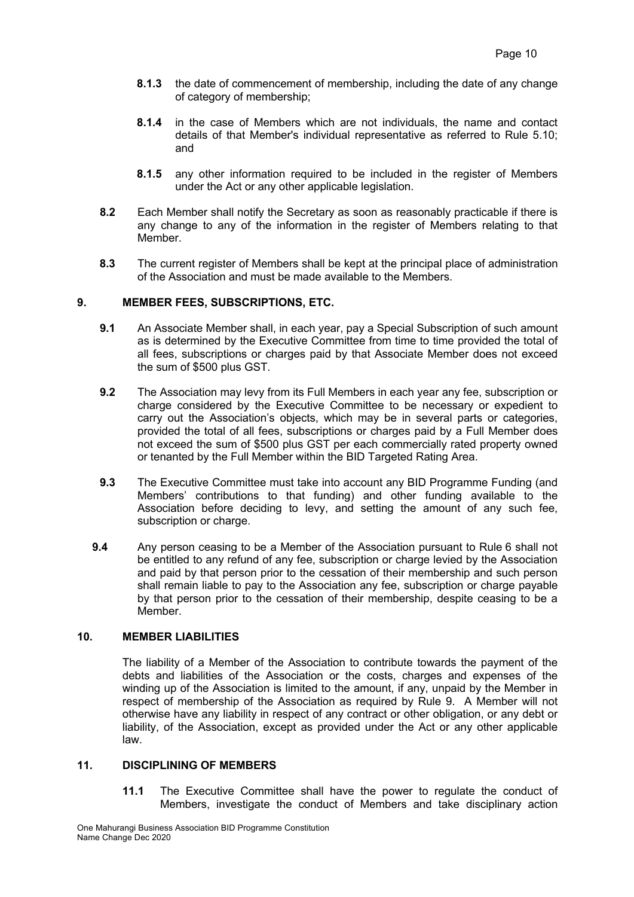- **8.1.3** the date of commencement of membership, including the date of any change of category of membership;
- **8.1.4** in the case of Members which are not individuals, the name and contact details of that Member's individual representative as referred to Rule 5.10; and
- **8.1.5** any other information required to be included in the register of Members under the Act or any other applicable legislation.
- **8.2** Each Member shall notify the Secretary as soon as reasonably practicable if there is any change to any of the information in the register of Members relating to that Member.
- **8.3** The current register of Members shall be kept at the principal place of administration of the Association and must be made available to the Members.

#### **9. MEMBER FEES, SUBSCRIPTIONS, ETC.**

- **9.1** An Associate Member shall, in each year, pay a Special Subscription of such amount as is determined by the Executive Committee from time to time provided the total of all fees, subscriptions or charges paid by that Associate Member does not exceed the sum of \$500 plus GST.
- **9.2** The Association may levy from its Full Members in each year any fee, subscription or charge considered by the Executive Committee to be necessary or expedient to carry out the Association's objects, which may be in several parts or categories, provided the total of all fees, subscriptions or charges paid by a Full Member does not exceed the sum of \$500 plus GST per each commercially rated property owned or tenanted by the Full Member within the BID Targeted Rating Area.
- **9.3** The Executive Committee must take into account any BID Programme Funding (and Members' contributions to that funding) and other funding available to the Association before deciding to levy, and setting the amount of any such fee, subscription or charge.
- **9.4** Any person ceasing to be a Member of the Association pursuant to Rule 6 shall not be entitled to any refund of any fee, subscription or charge levied by the Association and paid by that person prior to the cessation of their membership and such person shall remain liable to pay to the Association any fee, subscription or charge payable by that person prior to the cessation of their membership, despite ceasing to be a Member.

# **10. MEMBER LIABILITIES**

The liability of a Member of the Association to contribute towards the payment of the debts and liabilities of the Association or the costs, charges and expenses of the winding up of the Association is limited to the amount, if any, unpaid by the Member in respect of membership of the Association as required by Rule 9. A Member will not otherwise have any liability in respect of any contract or other obligation, or any debt or liability, of the Association, except as provided under the Act or any other applicable law.

# **11. DISCIPLINING OF MEMBERS**

**11.1** The Executive Committee shall have the power to regulate the conduct of Members, investigate the conduct of Members and take disciplinary action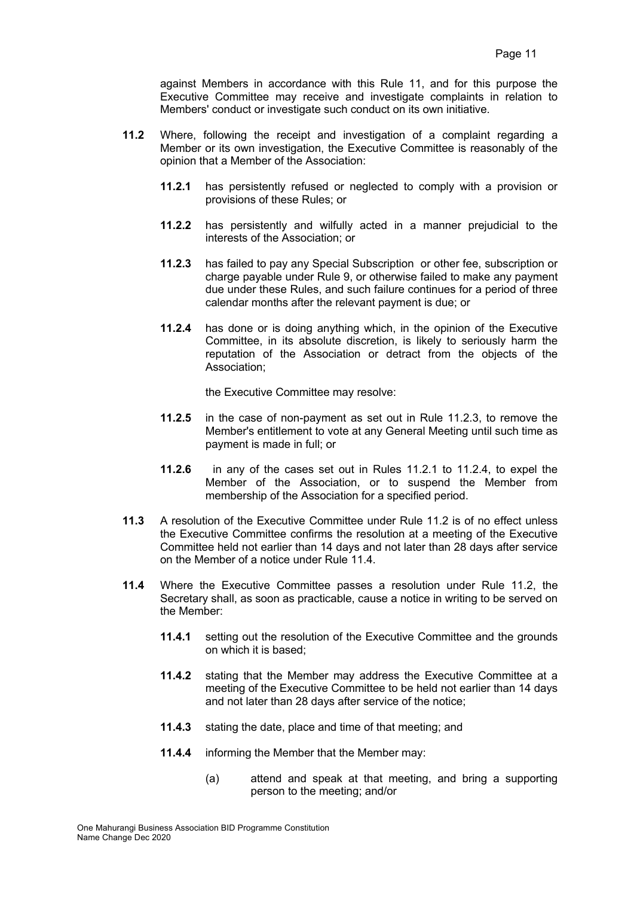against Members in accordance with this Rule 11, and for this purpose the Executive Committee may receive and investigate complaints in relation to Members' conduct or investigate such conduct on its own initiative.

- **11.2** Where, following the receipt and investigation of a complaint regarding a Member or its own investigation, the Executive Committee is reasonably of the opinion that a Member of the Association:
	- **11.2.1** has persistently refused or neglected to comply with a provision or provisions of these Rules; or
	- **11.2.2** has persistently and wilfully acted in a manner prejudicial to the interests of the Association; or
	- **11.2.3** has failed to pay any Special Subscription or other fee, subscription or charge payable under Rule 9, or otherwise failed to make any payment due under these Rules, and such failure continues for a period of three calendar months after the relevant payment is due; or
	- **11.2.4** has done or is doing anything which, in the opinion of the Executive Committee, in its absolute discretion, is likely to seriously harm the reputation of the Association or detract from the objects of the Association;

the Executive Committee may resolve:

- **11.2.5** in the case of non-payment as set out in Rule 11.2.3, to remove the Member's entitlement to vote at any General Meeting until such time as payment is made in full; or
- **11.2.6** in any of the cases set out in Rules 11.2.1 to 11.2.4, to expel the Member of the Association, or to suspend the Member from membership of the Association for a specified period.
- **11.3** A resolution of the Executive Committee under Rule 11.2 is of no effect unless the Executive Committee confirms the resolution at a meeting of the Executive Committee held not earlier than 14 days and not later than 28 days after service on the Member of a notice under Rule 11.4.
- **11.4** Where the Executive Committee passes a resolution under Rule 11.2, the Secretary shall, as soon as practicable, cause a notice in writing to be served on the Member:
	- **11.4.1** setting out the resolution of the Executive Committee and the grounds on which it is based;
	- **11.4.2** stating that the Member may address the Executive Committee at a meeting of the Executive Committee to be held not earlier than 14 days and not later than 28 days after service of the notice;
	- **11.4.3** stating the date, place and time of that meeting; and
	- **11.4.4** informing the Member that the Member may:
		- (a) attend and speak at that meeting, and bring a supporting person to the meeting; and/or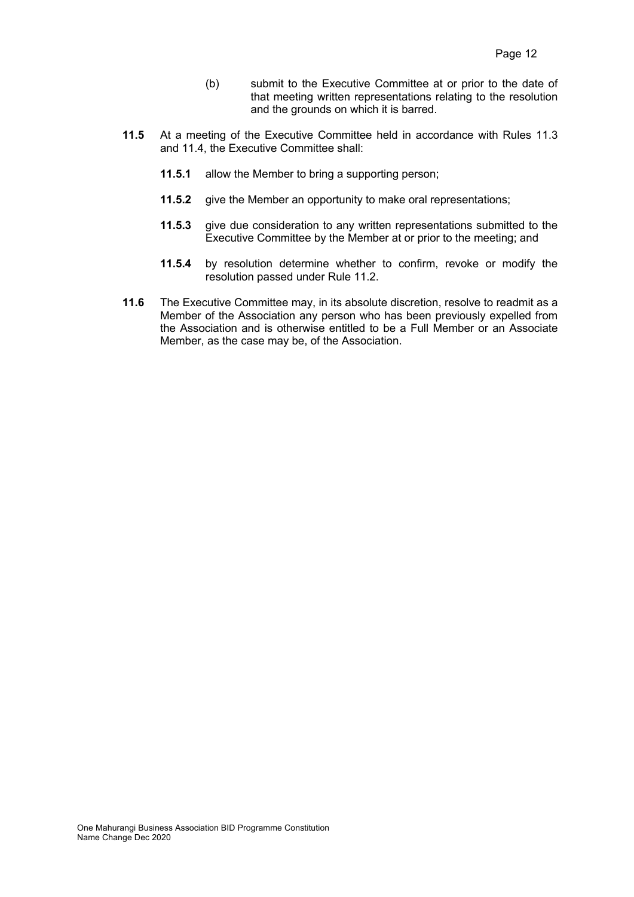- (b) submit to the Executive Committee at or prior to the date of that meeting written representations relating to the resolution and the grounds on which it is barred.
- **11.5** At a meeting of the Executive Committee held in accordance with Rules 11.3 and 11.4, the Executive Committee shall:
	- **11.5.1** allow the Member to bring a supporting person;
	- **11.5.2** give the Member an opportunity to make oral representations;
	- **11.5.3** give due consideration to any written representations submitted to the Executive Committee by the Member at or prior to the meeting; and
	- **11.5.4** by resolution determine whether to confirm, revoke or modify the resolution passed under Rule 11.2.
- **11.6** The Executive Committee may, in its absolute discretion, resolve to readmit as a Member of the Association any person who has been previously expelled from the Association and is otherwise entitled to be a Full Member or an Associate Member, as the case may be, of the Association.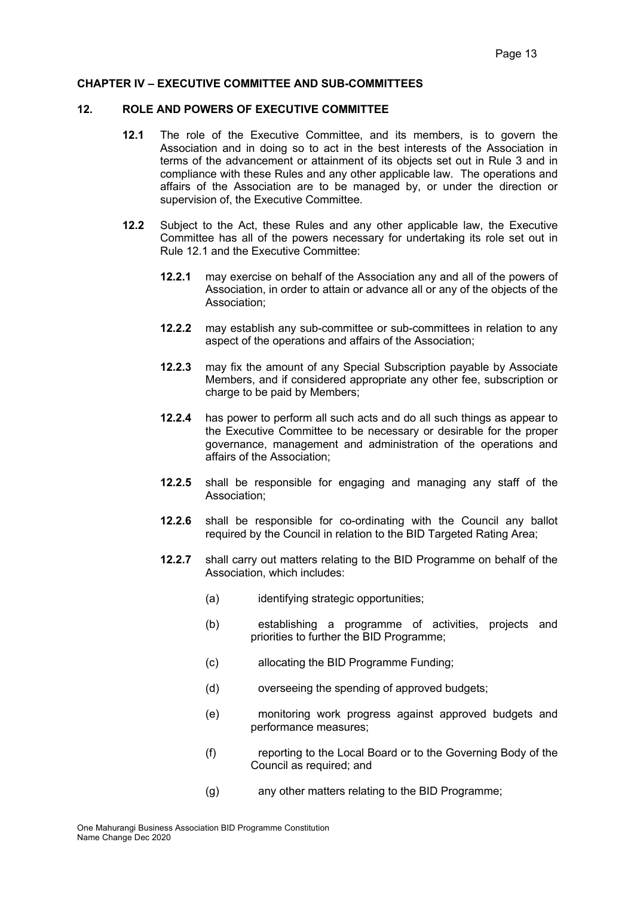#### **CHAPTER IV – EXECUTIVE COMMITTEE AND SUB-COMMITTEES**

#### **12. ROLE AND POWERS OF EXECUTIVE COMMITTEE**

- **12.1** The role of the Executive Committee, and its members, is to govern the Association and in doing so to act in the best interests of the Association in terms of the advancement or attainment of its objects set out in Rule 3 and in compliance with these Rules and any other applicable law. The operations and affairs of the Association are to be managed by, or under the direction or supervision of, the Executive Committee.
- **12.2** Subject to the Act, these Rules and any other applicable law, the Executive Committee has all of the powers necessary for undertaking its role set out in Rule 12.1 and the Executive Committee:
	- **12.2.1** may exercise on behalf of the Association any and all of the powers of Association, in order to attain or advance all or any of the objects of the Association;
	- **12.2.2** may establish any sub-committee or sub-committees in relation to any aspect of the operations and affairs of the Association;
	- **12.2.3** may fix the amount of any Special Subscription payable by Associate Members, and if considered appropriate any other fee, subscription or charge to be paid by Members;
	- **12.2.4** has power to perform all such acts and do all such things as appear to the Executive Committee to be necessary or desirable for the proper governance, management and administration of the operations and affairs of the Association;
	- **12.2.5** shall be responsible for engaging and managing any staff of the Association;
	- **12.2.6** shall be responsible for co-ordinating with the Council any ballot required by the Council in relation to the BID Targeted Rating Area;
	- **12.2.7** shall carry out matters relating to the BID Programme on behalf of the Association, which includes:
		- (a) identifying strategic opportunities;
		- (b) establishing a programme of activities, projects and priorities to further the BID Programme;
		- (c) allocating the BID Programme Funding;
		- (d) overseeing the spending of approved budgets;
		- (e) monitoring work progress against approved budgets and performance measures;
		- (f) reporting to the Local Board or to the Governing Body of the Council as required; and
		- (g) any other matters relating to the BID Programme;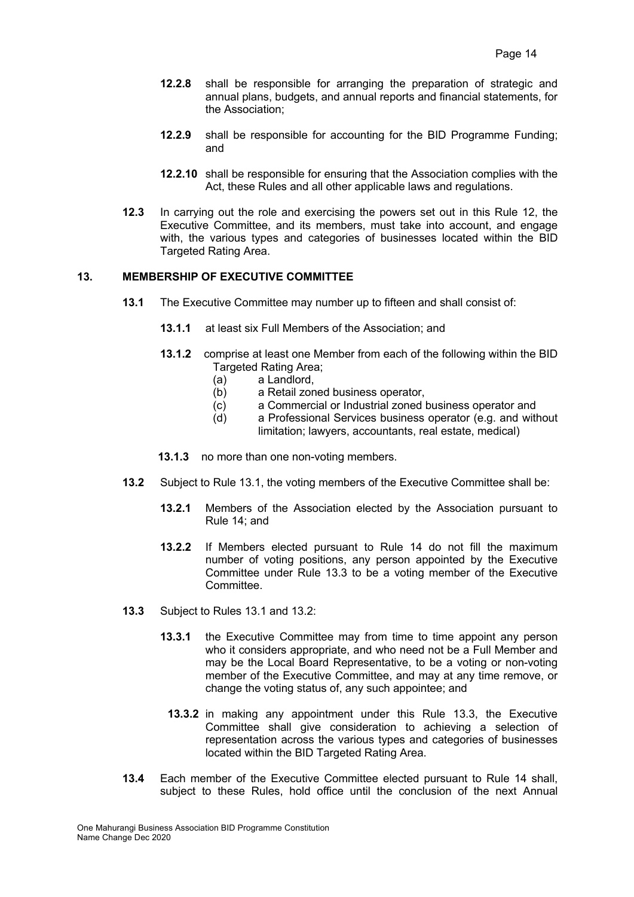- **12.2.8** shall be responsible for arranging the preparation of strategic and annual plans, budgets, and annual reports and financial statements, for the Association;
- **12.2.9** shall be responsible for accounting for the BID Programme Funding; and
- **12.2.10** shall be responsible for ensuring that the Association complies with the Act, these Rules and all other applicable laws and regulations.
- **12.3** In carrying out the role and exercising the powers set out in this Rule 12, the Executive Committee, and its members, must take into account, and engage with, the various types and categories of businesses located within the BID Targeted Rating Area.

#### **13. MEMBERSHIP OF EXECUTIVE COMMITTEE**

- **13.1** The Executive Committee may number up to fifteen and shall consist of:
	- **13.1.1** at least six Full Members of the Association; and
	- **13.1.2** comprise at least one Member from each of the following within the BID Targeted Rating Area;
		-
		- (a) a Landlord,<br>(b) a Retail zor a Retail zoned business operator,
		- (c) a Commercial or Industrial zoned business operator and
		- (d) a Professional Services business operator (e.g. and without limitation; lawyers, accountants, real estate, medical)
	- **13.1.3** no more than one non-voting members.
- **13.2** Subject to Rule 13.1, the voting members of the Executive Committee shall be:
	- **13.2.1** Members of the Association elected by the Association pursuant to Rule 14; and
	- **13.2.2** If Members elected pursuant to Rule 14 do not fill the maximum number of voting positions, any person appointed by the Executive Committee under Rule 13.3 to be a voting member of the Executive Committee.
- **13.3** Subject to Rules 13.1 and 13.2:
	- **13.3.1** the Executive Committee may from time to time appoint any person who it considers appropriate, and who need not be a Full Member and may be the Local Board Representative, to be a voting or non-voting member of the Executive Committee, and may at any time remove, or change the voting status of, any such appointee; and
	- **13.3.2** in making any appointment under this Rule 13.3, the Executive Committee shall give consideration to achieving a selection of representation across the various types and categories of businesses located within the BID Targeted Rating Area.
- **13.4** Each member of the Executive Committee elected pursuant to Rule 14 shall, subject to these Rules, hold office until the conclusion of the next Annual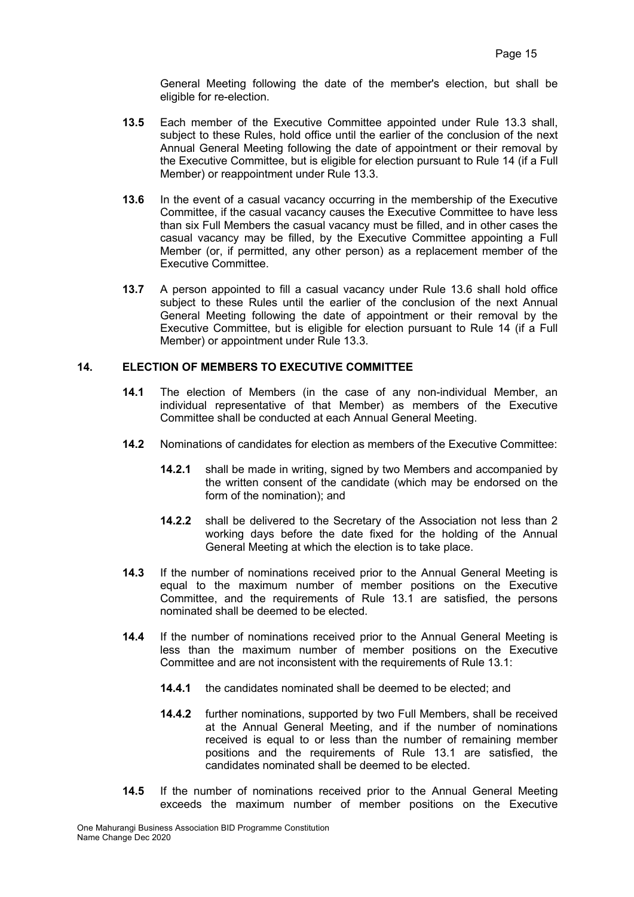General Meeting following the date of the member's election, but shall be eligible for re-election.

- **13.5** Each member of the Executive Committee appointed under Rule 13.3 shall, subject to these Rules, hold office until the earlier of the conclusion of the next Annual General Meeting following the date of appointment or their removal by the Executive Committee, but is eligible for election pursuant to Rule 14 (if a Full Member) or reappointment under Rule 13.3.
- **13.6** In the event of a casual vacancy occurring in the membership of the Executive Committee, if the casual vacancy causes the Executive Committee to have less than six Full Members the casual vacancy must be filled, and in other cases the casual vacancy may be filled, by the Executive Committee appointing a Full Member (or, if permitted, any other person) as a replacement member of the Executive Committee.
- **13.7** A person appointed to fill a casual vacancy under Rule 13.6 shall hold office subject to these Rules until the earlier of the conclusion of the next Annual General Meeting following the date of appointment or their removal by the Executive Committee, but is eligible for election pursuant to Rule 14 (if a Full Member) or appointment under Rule 13.3.

# **14. ELECTION OF MEMBERS TO EXECUTIVE COMMITTEE**

- **14.1** The election of Members (in the case of any non-individual Member, an individual representative of that Member) as members of the Executive Committee shall be conducted at each Annual General Meeting.
- **14.2** Nominations of candidates for election as members of the Executive Committee:
	- **14.2.1** shall be made in writing, signed by two Members and accompanied by the written consent of the candidate (which may be endorsed on the form of the nomination); and
	- **14.2.2** shall be delivered to the Secretary of the Association not less than 2 working days before the date fixed for the holding of the Annual General Meeting at which the election is to take place.
- **14.3** If the number of nominations received prior to the Annual General Meeting is equal to the maximum number of member positions on the Executive Committee, and the requirements of Rule 13.1 are satisfied, the persons nominated shall be deemed to be elected.
- **14.4** If the number of nominations received prior to the Annual General Meeting is less than the maximum number of member positions on the Executive Committee and are not inconsistent with the requirements of Rule 13.1:
	- **14.4.1** the candidates nominated shall be deemed to be elected; and
	- **14.4.2** further nominations, supported by two Full Members, shall be received at the Annual General Meeting, and if the number of nominations received is equal to or less than the number of remaining member positions and the requirements of Rule 13.1 are satisfied, the candidates nominated shall be deemed to be elected.
- **14.5** If the number of nominations received prior to the Annual General Meeting exceeds the maximum number of member positions on the Executive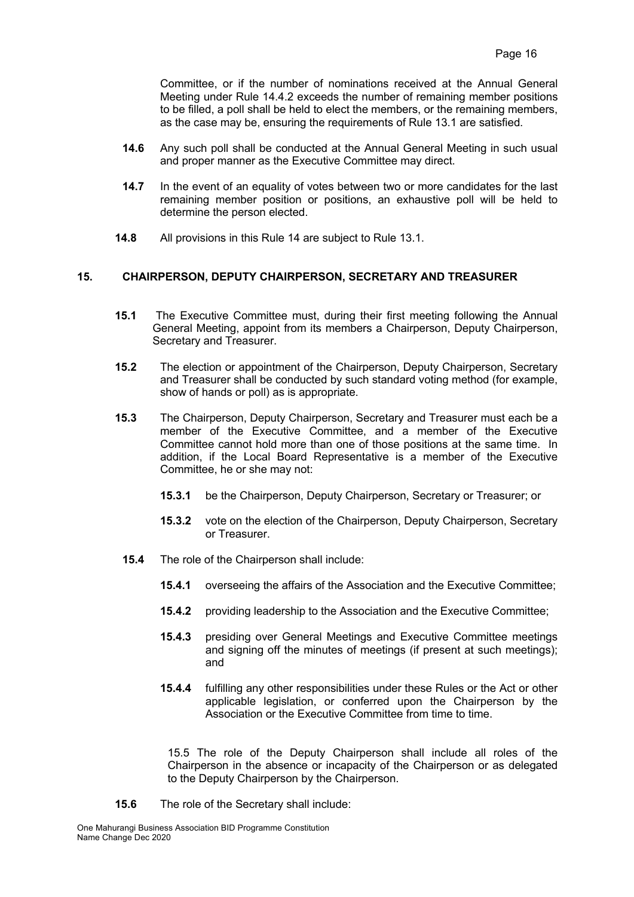Committee, or if the number of nominations received at the Annual General Meeting under Rule 14.4.2 exceeds the number of remaining member positions to be filled, a poll shall be held to elect the members, or the remaining members, as the case may be, ensuring the requirements of Rule 13.1 are satisfied.

- **14.6** Any such poll shall be conducted at the Annual General Meeting in such usual and proper manner as the Executive Committee may direct.
- **14.7** In the event of an equality of votes between two or more candidates for the last remaining member position or positions, an exhaustive poll will be held to determine the person elected.
- **14.8** All provisions in this Rule 14 are subject to Rule 13.1.

# **15. CHAIRPERSON, DEPUTY CHAIRPERSON, SECRETARY AND TREASURER**

- **15.1** The Executive Committee must, during their first meeting following the Annual General Meeting, appoint from its members a Chairperson, Deputy Chairperson, Secretary and Treasurer.
- **15.2** The election or appointment of the Chairperson, Deputy Chairperson, Secretary and Treasurer shall be conducted by such standard voting method (for example, show of hands or poll) as is appropriate.
- **15.3** The Chairperson, Deputy Chairperson, Secretary and Treasurer must each be a member of the Executive Committee, and a member of the Executive Committee cannot hold more than one of those positions at the same time. In addition, if the Local Board Representative is a member of the Executive Committee, he or she may not:
	- **15.3.1** be the Chairperson, Deputy Chairperson, Secretary or Treasurer; or
	- **15.3.2** vote on the election of the Chairperson, Deputy Chairperson, Secretary or Treasurer.
	- **15.4** The role of the Chairperson shall include:
		- **15.4.1** overseeing the affairs of the Association and the Executive Committee;
		- **15.4.2** providing leadership to the Association and the Executive Committee;
		- **15.4.3** presiding over General Meetings and Executive Committee meetings and signing off the minutes of meetings (if present at such meetings); and
		- **15.4.4** fulfilling any other responsibilities under these Rules or the Act or other applicable legislation, or conferred upon the Chairperson by the Association or the Executive Committee from time to time.

15.5 The role of the Deputy Chairperson shall include all roles of the Chairperson in the absence or incapacity of the Chairperson or as delegated to the Deputy Chairperson by the Chairperson.

**15.6** The role of the Secretary shall include: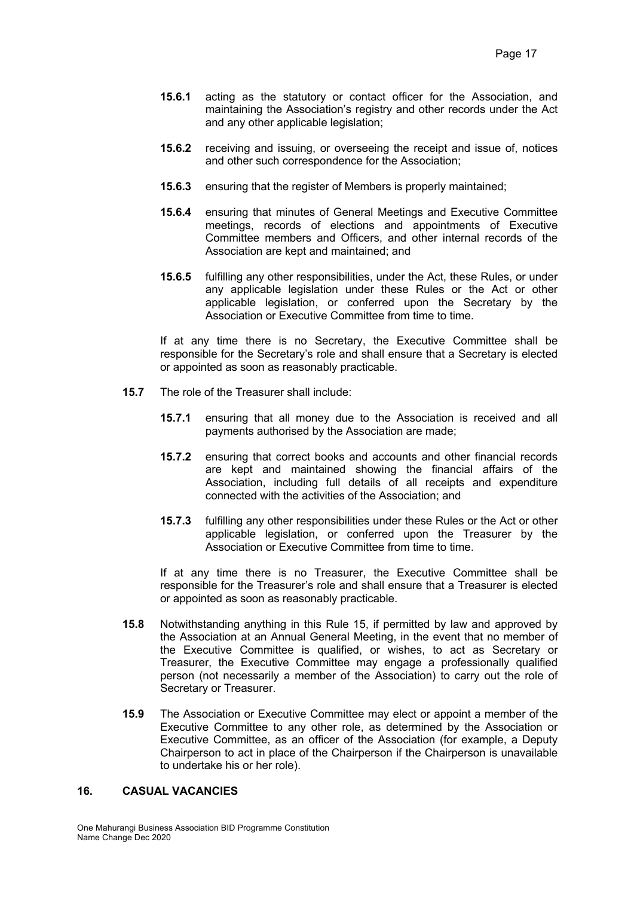- **15.6.1** acting as the statutory or contact officer for the Association, and maintaining the Association's registry and other records under the Act and any other applicable legislation;
- **15.6.2** receiving and issuing, or overseeing the receipt and issue of, notices and other such correspondence for the Association;
- **15.6.3** ensuring that the register of Members is properly maintained;
- **15.6.4** ensuring that minutes of General Meetings and Executive Committee meetings, records of elections and appointments of Executive Committee members and Officers, and other internal records of the Association are kept and maintained; and
- **15.6.5** fulfilling any other responsibilities, under the Act, these Rules, or under any applicable legislation under these Rules or the Act or other applicable legislation, or conferred upon the Secretary by the Association or Executive Committee from time to time.

If at any time there is no Secretary, the Executive Committee shall be responsible for the Secretary's role and shall ensure that a Secretary is elected or appointed as soon as reasonably practicable.

- **15.7** The role of the Treasurer shall include:
	- **15.7.1** ensuring that all money due to the Association is received and all payments authorised by the Association are made;
	- **15.7.2** ensuring that correct books and accounts and other financial records are kept and maintained showing the financial affairs of the Association, including full details of all receipts and expenditure connected with the activities of the Association; and
	- **15.7.3** fulfilling any other responsibilities under these Rules or the Act or other applicable legislation, or conferred upon the Treasurer by the Association or Executive Committee from time to time.

If at any time there is no Treasurer, the Executive Committee shall be responsible for the Treasurer's role and shall ensure that a Treasurer is elected or appointed as soon as reasonably practicable.

- **15.8** Notwithstanding anything in this Rule 15, if permitted by law and approved by the Association at an Annual General Meeting, in the event that no member of the Executive Committee is qualified, or wishes, to act as Secretary or Treasurer, the Executive Committee may engage a professionally qualified person (not necessarily a member of the Association) to carry out the role of Secretary or Treasurer.
- **15.9** The Association or Executive Committee may elect or appoint a member of the Executive Committee to any other role, as determined by the Association or Executive Committee, as an officer of the Association (for example, a Deputy Chairperson to act in place of the Chairperson if the Chairperson is unavailable to undertake his or her role).

#### **16. CASUAL VACANCIES**

One Mahurangi Business Association BID Programme Constitution Name Change Dec 2020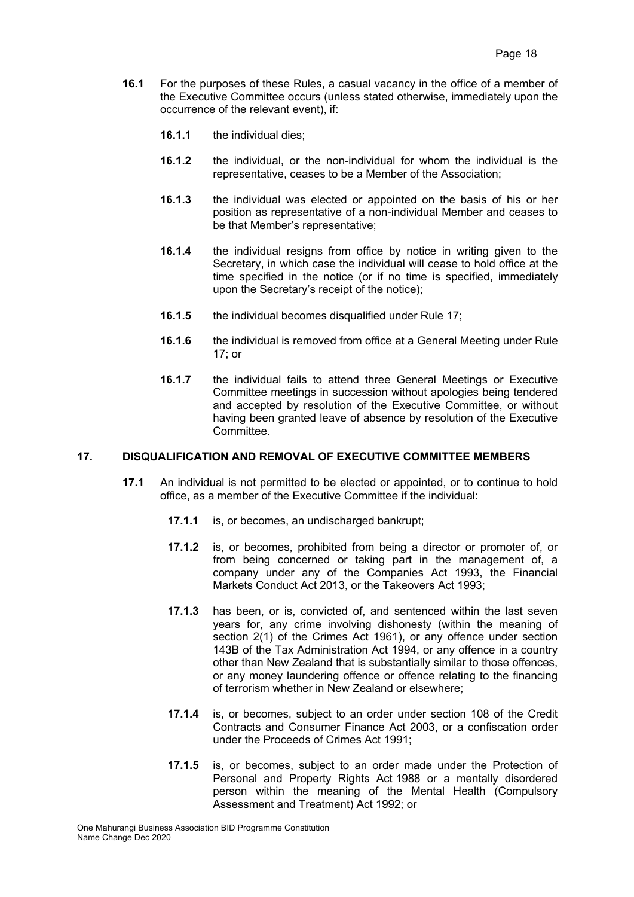- **16.1** For the purposes of these Rules, a casual vacancy in the office of a member of the Executive Committee occurs (unless stated otherwise, immediately upon the occurrence of the relevant event), if:
	- **16.1.1** the individual dies;
	- **16.1.2** the individual, or the non-individual for whom the individual is the representative, ceases to be a Member of the Association;
	- **16.1.3** the individual was elected or appointed on the basis of his or her position as representative of a non-individual Member and ceases to be that Member's representative;
	- **16.1.4** the individual resigns from office by notice in writing given to the Secretary, in which case the individual will cease to hold office at the time specified in the notice (or if no time is specified, immediately upon the Secretary's receipt of the notice);
	- **16.1.5** the individual becomes disqualified under Rule 17;
	- **16.1.6** the individual is removed from office at a General Meeting under Rule 17; or
	- **16.1.7** the individual fails to attend three General Meetings or Executive Committee meetings in succession without apologies being tendered and accepted by resolution of the Executive Committee, or without having been granted leave of absence by resolution of the Executive Committee.

## **17. DISQUALIFICATION AND REMOVAL OF EXECUTIVE COMMITTEE MEMBERS**

- **17.1** An individual is not permitted to be elected or appointed, or to continue to hold office, as a member of the Executive Committee if the individual:
	- **17.1.1** is, or becomes, an undischarged bankrupt;
	- **17.1.2** is, or becomes, prohibited from being a director or promoter of, or from being concerned or taking part in the management of, a company under any of the Companies Act 1993, the Financial Markets Conduct Act 2013, or the Takeovers Act 1993;
	- **17.1.3** has been, or is, convicted of, and sentenced within the last seven years for, any crime involving dishonesty (within the meaning of section 2(1) of the Crimes Act 1961), or any offence under section 143B of the Tax Administration Act 1994, or any offence in a country other than New Zealand that is substantially similar to those offences, or any money laundering offence or offence relating to the financing of terrorism whether in New Zealand or elsewhere;
	- **17.1.4** is, or becomes, subject to an order under section 108 of the Credit Contracts and Consumer Finance Act 2003, or a confiscation order under the Proceeds of Crimes Act 1991;
	- **17.1.5** is, or becomes, subject to an order made under the Protection of Personal and Property Rights Act 1988 or a mentally disordered person within the meaning of the Mental Health (Compulsory Assessment and Treatment) Act 1992; or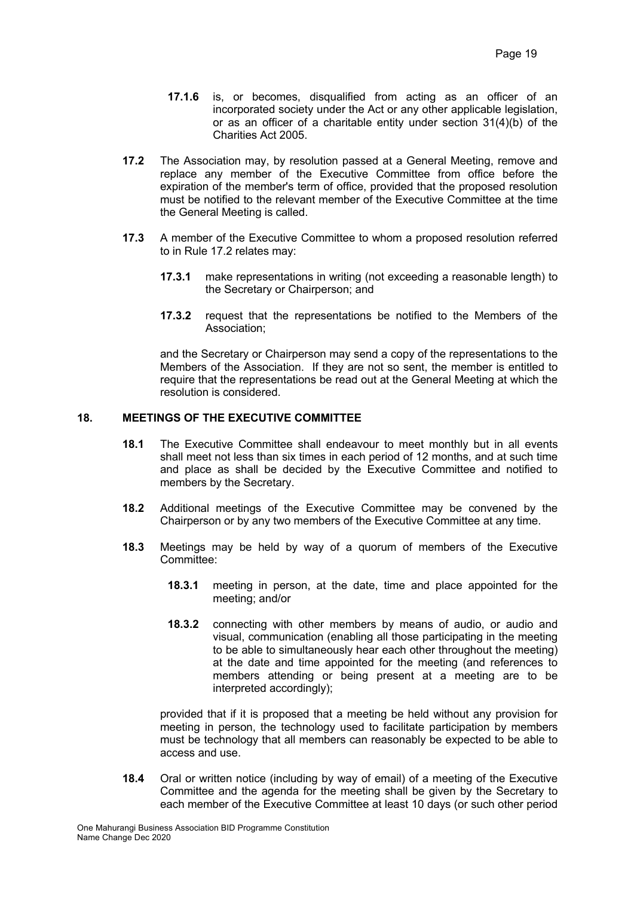- **17.1.6** is, or becomes, disqualified from acting as an officer of an incorporated society under the Act or any other applicable legislation, or as an officer of a charitable entity under section 31(4)(b) of the Charities Act 2005.
- **17.2** The Association may, by resolution passed at a General Meeting, remove and replace any member of the Executive Committee from office before the expiration of the member's term of office, provided that the proposed resolution must be notified to the relevant member of the Executive Committee at the time the General Meeting is called.
- **17.3** A member of the Executive Committee to whom a proposed resolution referred to in Rule 17.2 relates may:
	- **17.3.1** make representations in writing (not exceeding a reasonable length) to the Secretary or Chairperson; and
	- **17.3.2** request that the representations be notified to the Members of the Association;

and the Secretary or Chairperson may send a copy of the representations to the Members of the Association. If they are not so sent, the member is entitled to require that the representations be read out at the General Meeting at which the resolution is considered.

## **18. MEETINGS OF THE EXECUTIVE COMMITTEE**

- **18.1** The Executive Committee shall endeavour to meet monthly but in all events shall meet not less than six times in each period of 12 months, and at such time and place as shall be decided by the Executive Committee and notified to members by the Secretary.
- **18.2** Additional meetings of the Executive Committee may be convened by the Chairperson or by any two members of the Executive Committee at any time.
- **18.3** Meetings may be held by way of a quorum of members of the Executive Committee:
	- **18.3.1** meeting in person, at the date, time and place appointed for the meeting; and/or
	- **18.3.2** connecting with other members by means of audio, or audio and visual, communication (enabling all those participating in the meeting to be able to simultaneously hear each other throughout the meeting) at the date and time appointed for the meeting (and references to members attending or being present at a meeting are to be interpreted accordingly);

provided that if it is proposed that a meeting be held without any provision for meeting in person, the technology used to facilitate participation by members must be technology that all members can reasonably be expected to be able to access and use.

**18.4** Oral or written notice (including by way of email) of a meeting of the Executive Committee and the agenda for the meeting shall be given by the Secretary to each member of the Executive Committee at least 10 days (or such other period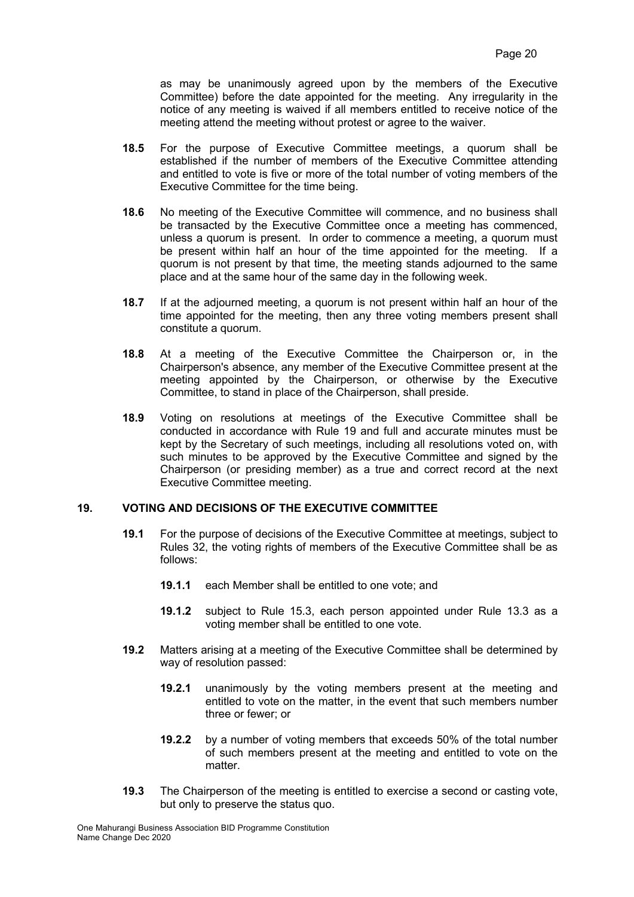as may be unanimously agreed upon by the members of the Executive Committee) before the date appointed for the meeting. Any irregularity in the notice of any meeting is waived if all members entitled to receive notice of the meeting attend the meeting without protest or agree to the waiver.

- **18.5** For the purpose of Executive Committee meetings, a quorum shall be established if the number of members of the Executive Committee attending and entitled to vote is five or more of the total number of voting members of the Executive Committee for the time being.
- **18.6** No meeting of the Executive Committee will commence, and no business shall be transacted by the Executive Committee once a meeting has commenced, unless a quorum is present. In order to commence a meeting, a quorum must be present within half an hour of the time appointed for the meeting. If a quorum is not present by that time, the meeting stands adjourned to the same place and at the same hour of the same day in the following week.
- **18.7** If at the adjourned meeting, a quorum is not present within half an hour of the time appointed for the meeting, then any three voting members present shall constitute a quorum.
- **18.8** At a meeting of the Executive Committee the Chairperson or, in the Chairperson's absence, any member of the Executive Committee present at the meeting appointed by the Chairperson, or otherwise by the Executive Committee, to stand in place of the Chairperson, shall preside.
- **18.9** Voting on resolutions at meetings of the Executive Committee shall be conducted in accordance with Rule 19 and full and accurate minutes must be kept by the Secretary of such meetings, including all resolutions voted on, with such minutes to be approved by the Executive Committee and signed by the Chairperson (or presiding member) as a true and correct record at the next Executive Committee meeting.

## **19. VOTING AND DECISIONS OF THE EXECUTIVE COMMITTEE**

- **19.1** For the purpose of decisions of the Executive Committee at meetings, subject to Rules 32, the voting rights of members of the Executive Committee shall be as follows:
	- **19.1.1** each Member shall be entitled to one vote; and
	- **19.1.2** subject to Rule 15.3, each person appointed under Rule 13.3 as a voting member shall be entitled to one vote.
- **19.2** Matters arising at a meeting of the Executive Committee shall be determined by way of resolution passed:
	- **19.2.1** unanimously by the voting members present at the meeting and entitled to vote on the matter, in the event that such members number three or fewer; or
	- **19.2.2** by a number of voting members that exceeds 50% of the total number of such members present at the meeting and entitled to vote on the matter.
- **19.3** The Chairperson of the meeting is entitled to exercise a second or casting vote, but only to preserve the status quo.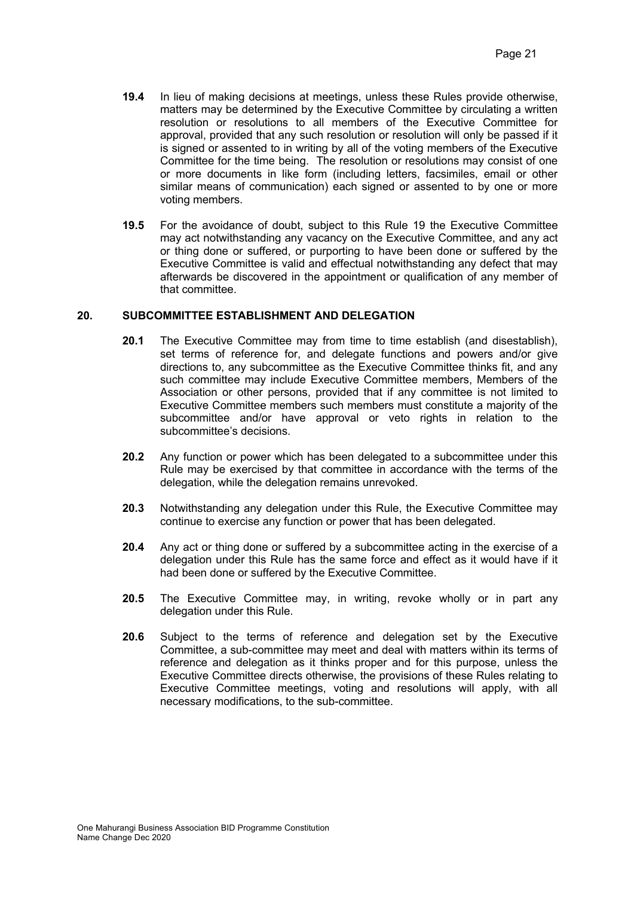- **19.4** In lieu of making decisions at meetings, unless these Rules provide otherwise, matters may be determined by the Executive Committee by circulating a written resolution or resolutions to all members of the Executive Committee for approval, provided that any such resolution or resolution will only be passed if it is signed or assented to in writing by all of the voting members of the Executive Committee for the time being. The resolution or resolutions may consist of one or more documents in like form (including letters, facsimiles, email or other similar means of communication) each signed or assented to by one or more voting members.
- **19.5** For the avoidance of doubt, subject to this Rule 19 the Executive Committee may act notwithstanding any vacancy on the Executive Committee, and any act or thing done or suffered, or purporting to have been done or suffered by the Executive Committee is valid and effectual notwithstanding any defect that may afterwards be discovered in the appointment or qualification of any member of that committee.

## **20. SUBCOMMITTEE ESTABLISHMENT AND DELEGATION**

- **20.1** The Executive Committee may from time to time establish (and disestablish), set terms of reference for, and delegate functions and powers and/or give directions to, any subcommittee as the Executive Committee thinks fit, and any such committee may include Executive Committee members, Members of the Association or other persons, provided that if any committee is not limited to Executive Committee members such members must constitute a majority of the subcommittee and/or have approval or veto rights in relation to the subcommittee's decisions.
- **20.2** Any function or power which has been delegated to a subcommittee under this Rule may be exercised by that committee in accordance with the terms of the delegation, while the delegation remains unrevoked.
- **20.3** Notwithstanding any delegation under this Rule, the Executive Committee may continue to exercise any function or power that has been delegated.
- **20.4** Any act or thing done or suffered by a subcommittee acting in the exercise of a delegation under this Rule has the same force and effect as it would have if it had been done or suffered by the Executive Committee.
- **20.5** The Executive Committee may, in writing, revoke wholly or in part any delegation under this Rule.
- **20.6** Subject to the terms of reference and delegation set by the Executive Committee, a sub-committee may meet and deal with matters within its terms of reference and delegation as it thinks proper and for this purpose, unless the Executive Committee directs otherwise, the provisions of these Rules relating to Executive Committee meetings, voting and resolutions will apply, with all necessary modifications, to the sub-committee.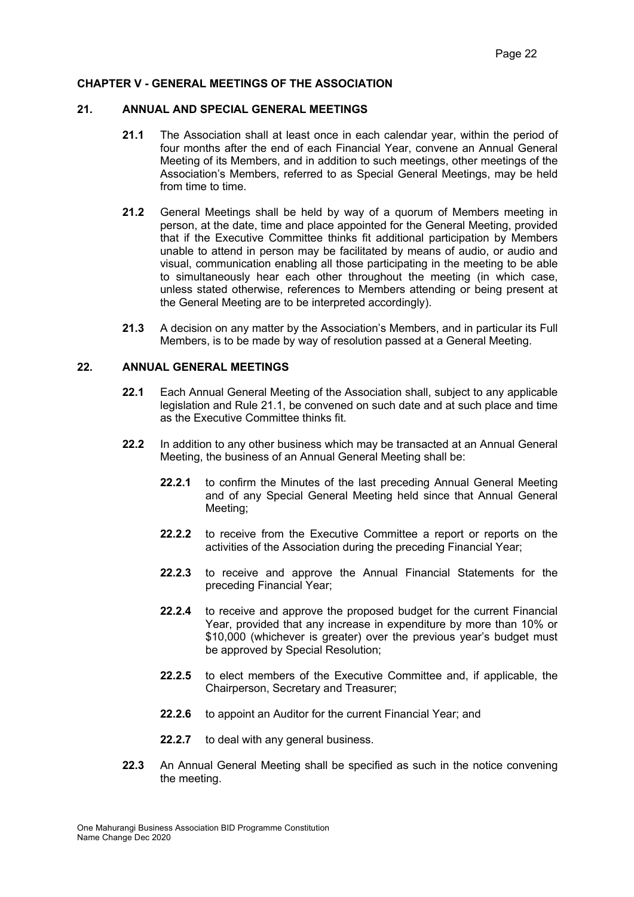### **CHAPTER V - GENERAL MEETINGS OF THE ASSOCIATION**

#### **21. ANNUAL AND SPECIAL GENERAL MEETINGS**

- **21.1** The Association shall at least once in each calendar year, within the period of four months after the end of each Financial Year, convene an Annual General Meeting of its Members, and in addition to such meetings, other meetings of the Association's Members, referred to as Special General Meetings, may be held from time to time.
- **21.2** General Meetings shall be held by way of a quorum of Members meeting in person, at the date, time and place appointed for the General Meeting, provided that if the Executive Committee thinks fit additional participation by Members unable to attend in person may be facilitated by means of audio, or audio and visual, communication enabling all those participating in the meeting to be able to simultaneously hear each other throughout the meeting (in which case, unless stated otherwise, references to Members attending or being present at the General Meeting are to be interpreted accordingly).
- **21.3** A decision on any matter by the Association's Members, and in particular its Full Members, is to be made by way of resolution passed at a General Meeting.

#### **22. ANNUAL GENERAL MEETINGS**

- **22.1** Each Annual General Meeting of the Association shall, subject to any applicable legislation and Rule 21.1, be convened on such date and at such place and time as the Executive Committee thinks fit.
- **22.2** In addition to any other business which may be transacted at an Annual General Meeting, the business of an Annual General Meeting shall be:
	- **22.2.1** to confirm the Minutes of the last preceding Annual General Meeting and of any Special General Meeting held since that Annual General Meeting;
	- **22.2.2** to receive from the Executive Committee a report or reports on the activities of the Association during the preceding Financial Year;
	- **22.2.3** to receive and approve the Annual Financial Statements for the preceding Financial Year;
	- **22.2.4** to receive and approve the proposed budget for the current Financial Year, provided that any increase in expenditure by more than 10% or \$10,000 (whichever is greater) over the previous vear's budget must be approved by Special Resolution;
	- **22.2.5** to elect members of the Executive Committee and, if applicable, the Chairperson, Secretary and Treasurer;
	- **22.2.6** to appoint an Auditor for the current Financial Year; and
	- **22.2.7** to deal with any general business.
- **22.3** An Annual General Meeting shall be specified as such in the notice convening the meeting.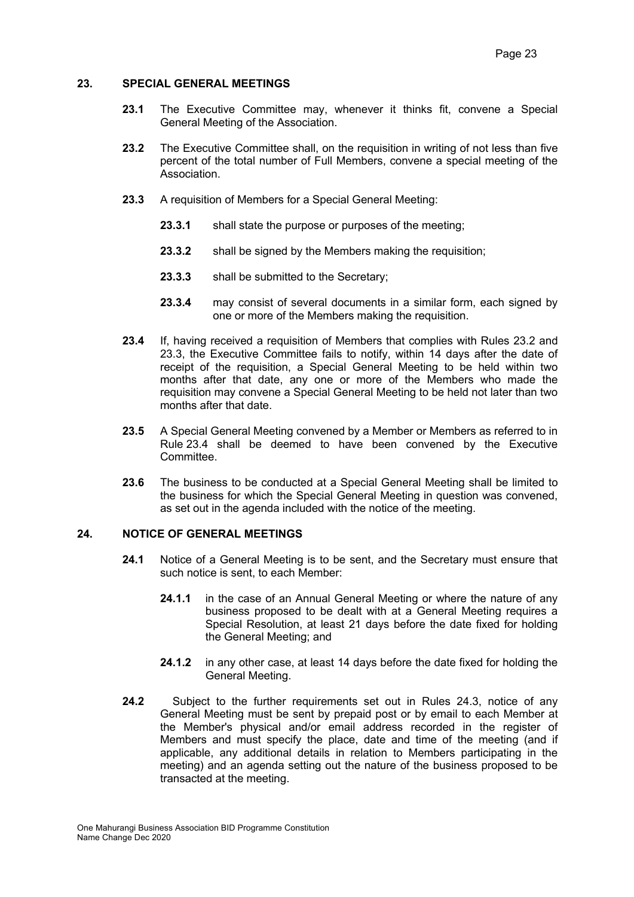#### **23. SPECIAL GENERAL MEETINGS**

- **23.1** The Executive Committee may, whenever it thinks fit, convene a Special General Meeting of the Association.
- **23.2** The Executive Committee shall, on the requisition in writing of not less than five percent of the total number of Full Members, convene a special meeting of the Association.
- **23.3** A requisition of Members for a Special General Meeting:
	- **23.3.1** shall state the purpose or purposes of the meeting;
	- **23.3.2** shall be signed by the Members making the requisition;
	- **23.3.3** shall be submitted to the Secretary;
	- **23.3.4** may consist of several documents in a similar form, each signed by one or more of the Members making the requisition.
- **23.4** If, having received a requisition of Members that complies with Rules 23.2 and 23.3, the Executive Committee fails to notify, within 14 days after the date of receipt of the requisition, a Special General Meeting to be held within two months after that date, any one or more of the Members who made the requisition may convene a Special General Meeting to be held not later than two months after that date.
- **23.5** A Special General Meeting convened by a Member or Members as referred to in Rule 23.4 shall be deemed to have been convened by the Executive Committee.
- **23.6** The business to be conducted at a Special General Meeting shall be limited to the business for which the Special General Meeting in question was convened, as set out in the agenda included with the notice of the meeting.

# **24. NOTICE OF GENERAL MEETINGS**

- **24.1** Notice of a General Meeting is to be sent, and the Secretary must ensure that such notice is sent, to each Member:
	- **24.1.1** in the case of an Annual General Meeting or where the nature of any business proposed to be dealt with at a General Meeting requires a Special Resolution, at least 21 days before the date fixed for holding the General Meeting; and
	- **24.1.2** in any other case, at least 14 days before the date fixed for holding the General Meeting.
- **24.2** Subject to the further requirements set out in Rules 24.3, notice of any General Meeting must be sent by prepaid post or by email to each Member at the Member's physical and/or email address recorded in the register of Members and must specify the place, date and time of the meeting (and if applicable, any additional details in relation to Members participating in the meeting) and an agenda setting out the nature of the business proposed to be transacted at the meeting.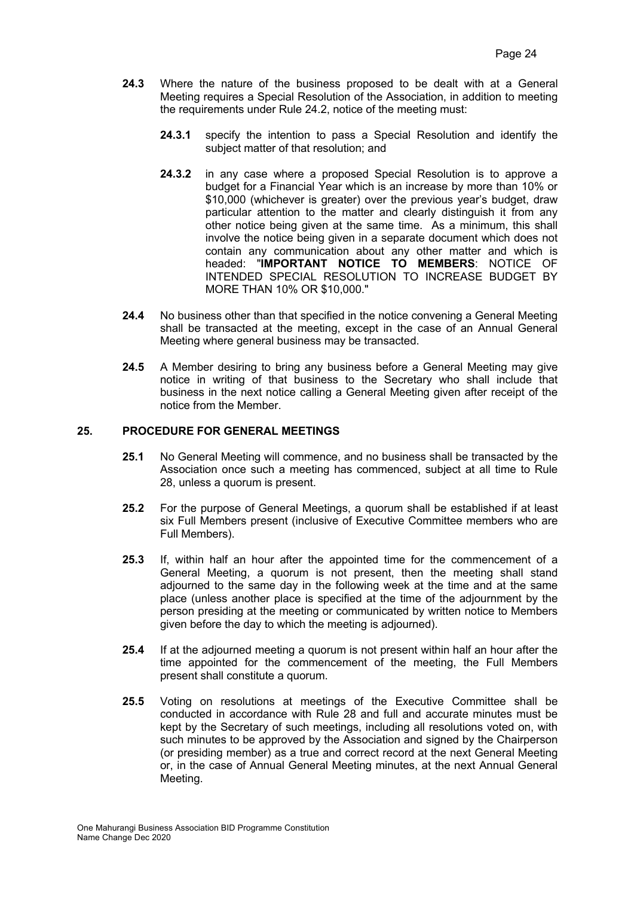- **24.3** Where the nature of the business proposed to be dealt with at a General Meeting requires a Special Resolution of the Association, in addition to meeting the requirements under Rule 24.2, notice of the meeting must:
	- **24.3.1** specify the intention to pass a Special Resolution and identify the subject matter of that resolution; and
	- **24.3.2** in any case where a proposed Special Resolution is to approve a budget for a Financial Year which is an increase by more than 10% or \$10,000 (whichever is greater) over the previous year's budget, draw particular attention to the matter and clearly distinguish it from any other notice being given at the same time. As a minimum, this shall involve the notice being given in a separate document which does not contain any communication about any other matter and which is headed: "**IMPORTANT NOTICE TO MEMBERS**: NOTICE OF INTENDED SPECIAL RESOLUTION TO INCREASE BUDGET BY MORE THAN 10% OR \$10,000."
- **24.4** No business other than that specified in the notice convening a General Meeting shall be transacted at the meeting, except in the case of an Annual General Meeting where general business may be transacted.
- **24.5** A Member desiring to bring any business before a General Meeting may give notice in writing of that business to the Secretary who shall include that business in the next notice calling a General Meeting given after receipt of the notice from the Member.

# **25. PROCEDURE FOR GENERAL MEETINGS**

- **25.1** No General Meeting will commence, and no business shall be transacted by the Association once such a meeting has commenced, subject at all time to Rule 28, unless a quorum is present.
- **25.2** For the purpose of General Meetings, a quorum shall be established if at least six Full Members present (inclusive of Executive Committee members who are Full Members).
- **25.3** If, within half an hour after the appointed time for the commencement of a General Meeting, a quorum is not present, then the meeting shall stand adjourned to the same day in the following week at the time and at the same place (unless another place is specified at the time of the adjournment by the person presiding at the meeting or communicated by written notice to Members given before the day to which the meeting is adjourned).
- **25.4** If at the adjourned meeting a quorum is not present within half an hour after the time appointed for the commencement of the meeting, the Full Members present shall constitute a quorum.
- **25.5** Voting on resolutions at meetings of the Executive Committee shall be conducted in accordance with Rule 28 and full and accurate minutes must be kept by the Secretary of such meetings, including all resolutions voted on, with such minutes to be approved by the Association and signed by the Chairperson (or presiding member) as a true and correct record at the next General Meeting or, in the case of Annual General Meeting minutes, at the next Annual General Meeting.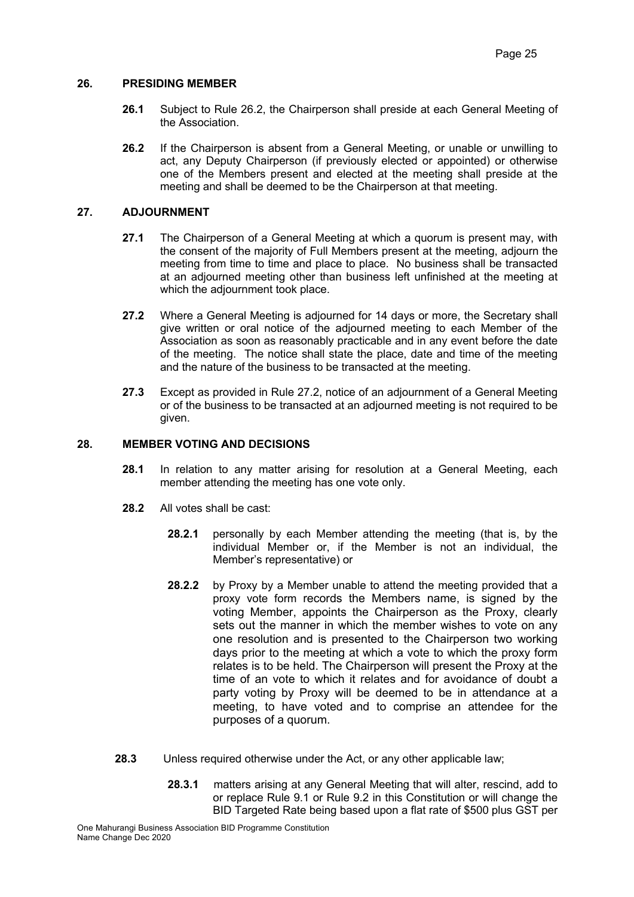### **26. PRESIDING MEMBER**

- **26.1** Subject to Rule 26.2, the Chairperson shall preside at each General Meeting of the Association.
- **26.2** If the Chairperson is absent from a General Meeting, or unable or unwilling to act, any Deputy Chairperson (if previously elected or appointed) or otherwise one of the Members present and elected at the meeting shall preside at the meeting and shall be deemed to be the Chairperson at that meeting.

## **27. ADJOURNMENT**

- **27.1** The Chairperson of a General Meeting at which a quorum is present may, with the consent of the majority of Full Members present at the meeting, adjourn the meeting from time to time and place to place. No business shall be transacted at an adjourned meeting other than business left unfinished at the meeting at which the adjournment took place.
- **27.2** Where a General Meeting is adjourned for 14 days or more, the Secretary shall give written or oral notice of the adjourned meeting to each Member of the Association as soon as reasonably practicable and in any event before the date of the meeting. The notice shall state the place, date and time of the meeting and the nature of the business to be transacted at the meeting.
- **27.3** Except as provided in Rule 27.2, notice of an adjournment of a General Meeting or of the business to be transacted at an adjourned meeting is not required to be given.

### **28. MEMBER VOTING AND DECISIONS**

- **28.1** In relation to any matter arising for resolution at a General Meeting, each member attending the meeting has one vote only.
- **28.2** All votes shall be cast:
	- **28.2.1** personally by each Member attending the meeting (that is, by the individual Member or, if the Member is not an individual, the Member's representative) or
	- **28.2.2** by Proxy by a Member unable to attend the meeting provided that a proxy vote form records the Members name, is signed by the voting Member, appoints the Chairperson as the Proxy, clearly sets out the manner in which the member wishes to vote on any one resolution and is presented to the Chairperson two working days prior to the meeting at which a vote to which the proxy form relates is to be held. The Chairperson will present the Proxy at the time of an vote to which it relates and for avoidance of doubt a party voting by Proxy will be deemed to be in attendance at a meeting, to have voted and to comprise an attendee for the purposes of a quorum.
- **28.3** Unless required otherwise under the Act, or any other applicable law;
	- **28.3.1** matters arising at any General Meeting that will alter, rescind, add to or replace Rule 9.1 or Rule 9.2 in this Constitution or will change the BID Targeted Rate being based upon a flat rate of \$500 plus GST per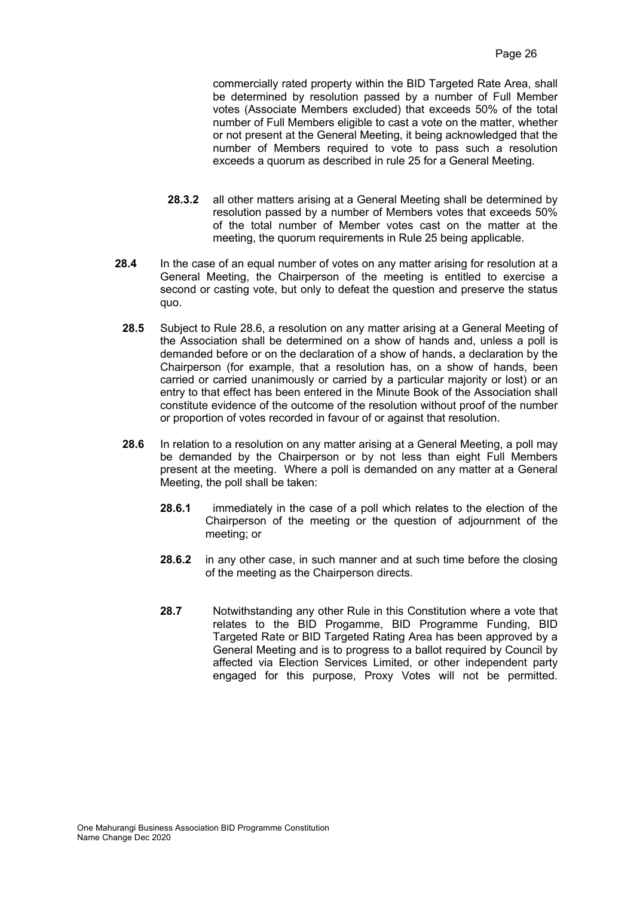commercially rated property within the BID Targeted Rate Area, shall be determined by resolution passed by a number of Full Member votes (Associate Members excluded) that exceeds 50% of the total number of Full Members eligible to cast a vote on the matter, whether or not present at the General Meeting, it being acknowledged that the number of Members required to vote to pass such a resolution exceeds a quorum as described in rule 25 for a General Meeting.

- **28.3.2** all other matters arising at a General Meeting shall be determined by resolution passed by a number of Members votes that exceeds 50% of the total number of Member votes cast on the matter at the meeting, the quorum requirements in Rule 25 being applicable.
- **28.4** In the case of an equal number of votes on any matter arising for resolution at a General Meeting, the Chairperson of the meeting is entitled to exercise a second or casting vote, but only to defeat the question and preserve the status quo.
	- **28.5** Subject to Rule 28.6, a resolution on any matter arising at a General Meeting of the Association shall be determined on a show of hands and, unless a poll is demanded before or on the declaration of a show of hands, a declaration by the Chairperson (for example, that a resolution has, on a show of hands, been carried or carried unanimously or carried by a particular majority or lost) or an entry to that effect has been entered in the Minute Book of the Association shall constitute evidence of the outcome of the resolution without proof of the number or proportion of votes recorded in favour of or against that resolution.
	- **28.6** In relation to a resolution on any matter arising at a General Meeting, a poll may be demanded by the Chairperson or by not less than eight Full Members present at the meeting. Where a poll is demanded on any matter at a General Meeting, the poll shall be taken:
		- **28.6.1** immediately in the case of a poll which relates to the election of the Chairperson of the meeting or the question of adjournment of the meeting; or
		- **28.6.2** in any other case, in such manner and at such time before the closing of the meeting as the Chairperson directs.
		- **28.7** Notwithstanding any other Rule in this Constitution where a vote that relates to the BID Progamme, BID Programme Funding, BID Targeted Rate or BID Targeted Rating Area has been approved by a General Meeting and is to progress to a ballot required by Council by affected via Election Services Limited, or other independent party engaged for this purpose, Proxy Votes will not be permitted.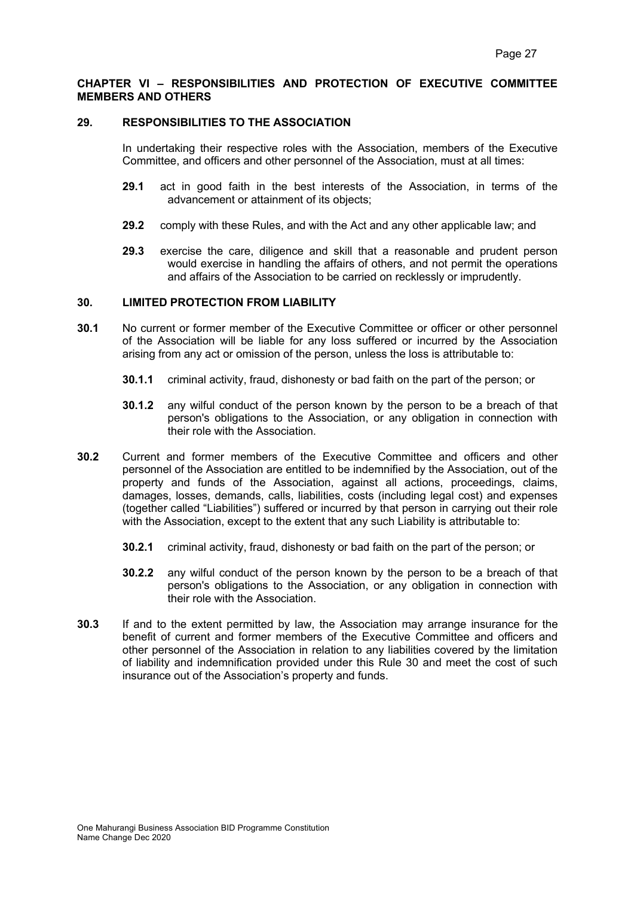#### **CHAPTER VI – RESPONSIBILITIES AND PROTECTION OF EXECUTIVE COMMITTEE MEMBERS AND OTHERS**

#### **29. RESPONSIBILITIES TO THE ASSOCIATION**

In undertaking their respective roles with the Association, members of the Executive Committee, and officers and other personnel of the Association, must at all times:

- **29.1** act in good faith in the best interests of the Association, in terms of the advancement or attainment of its objects;
- **29.2** comply with these Rules, and with the Act and any other applicable law; and
- **29.3** exercise the care, diligence and skill that a reasonable and prudent person would exercise in handling the affairs of others, and not permit the operations and affairs of the Association to be carried on recklessly or imprudently.

#### **30. LIMITED PROTECTION FROM LIABILITY**

- **30.1** No current or former member of the Executive Committee or officer or other personnel of the Association will be liable for any loss suffered or incurred by the Association arising from any act or omission of the person, unless the loss is attributable to:
	- **30.1.1** criminal activity, fraud, dishonesty or bad faith on the part of the person; or
	- **30.1.2** any wilful conduct of the person known by the person to be a breach of that person's obligations to the Association, or any obligation in connection with their role with the Association.
- **30.2** Current and former members of the Executive Committee and officers and other personnel of the Association are entitled to be indemnified by the Association, out of the property and funds of the Association, against all actions, proceedings, claims, damages, losses, demands, calls, liabilities, costs (including legal cost) and expenses (together called "Liabilities") suffered or incurred by that person in carrying out their role with the Association, except to the extent that any such Liability is attributable to:
	- **30.2.1** criminal activity, fraud, dishonesty or bad faith on the part of the person; or
	- **30.2.2** any wilful conduct of the person known by the person to be a breach of that person's obligations to the Association, or any obligation in connection with their role with the Association.
- **30.3** If and to the extent permitted by law, the Association may arrange insurance for the benefit of current and former members of the Executive Committee and officers and other personnel of the Association in relation to any liabilities covered by the limitation of liability and indemnification provided under this Rule 30 and meet the cost of such insurance out of the Association's property and funds.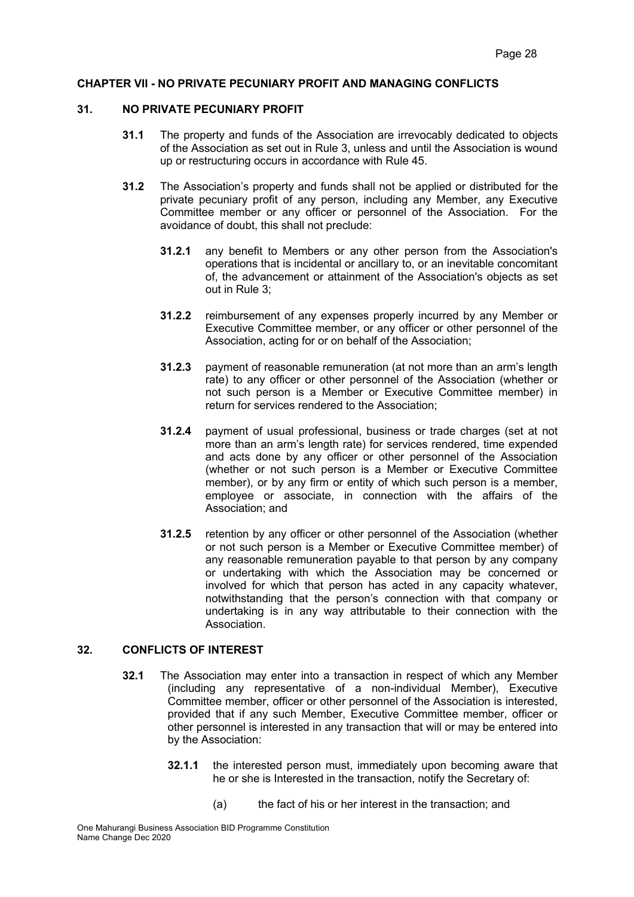#### **CHAPTER VII - NO PRIVATE PECUNIARY PROFIT AND MANAGING CONFLICTS**

#### **31. NO PRIVATE PECUNIARY PROFIT**

- **31.1** The property and funds of the Association are irrevocably dedicated to objects of the Association as set out in Rule 3, unless and until the Association is wound up or restructuring occurs in accordance with Rule 45.
- **31.2** The Association's property and funds shall not be applied or distributed for the private pecuniary profit of any person, including any Member, any Executive Committee member or any officer or personnel of the Association. For the avoidance of doubt, this shall not preclude:
	- **31.2.1** any benefit to Members or any other person from the Association's operations that is incidental or ancillary to, or an inevitable concomitant of, the advancement or attainment of the Association's objects as set out in Rule 3;
	- **31.2.2** reimbursement of any expenses properly incurred by any Member or Executive Committee member, or any officer or other personnel of the Association, acting for or on behalf of the Association;
	- **31.2.3** payment of reasonable remuneration (at not more than an arm's length rate) to any officer or other personnel of the Association (whether or not such person is a Member or Executive Committee member) in return for services rendered to the Association;
	- **31.2.4** payment of usual professional, business or trade charges (set at not more than an arm's length rate) for services rendered, time expended and acts done by any officer or other personnel of the Association (whether or not such person is a Member or Executive Committee member), or by any firm or entity of which such person is a member, employee or associate, in connection with the affairs of the Association; and
	- **31.2.5** retention by any officer or other personnel of the Association (whether or not such person is a Member or Executive Committee member) of any reasonable remuneration payable to that person by any company or undertaking with which the Association may be concerned or involved for which that person has acted in any capacity whatever, notwithstanding that the person's connection with that company or undertaking is in any way attributable to their connection with the Association.

# **32. CONFLICTS OF INTEREST**

- **32.1** The Association may enter into a transaction in respect of which any Member (including any representative of a non-individual Member), Executive Committee member, officer or other personnel of the Association is interested, provided that if any such Member, Executive Committee member, officer or other personnel is interested in any transaction that will or may be entered into by the Association:
	- **32.1.1** the interested person must, immediately upon becoming aware that he or she is Interested in the transaction, notify the Secretary of:
		- (a) the fact of his or her interest in the transaction; and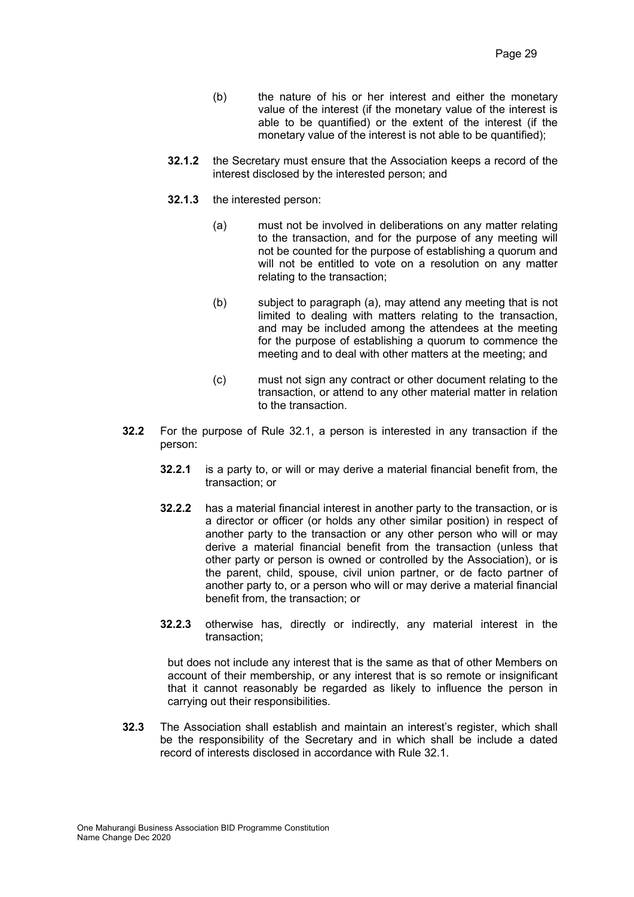- (b) the nature of his or her interest and either the monetary value of the interest (if the monetary value of the interest is able to be quantified) or the extent of the interest (if the monetary value of the interest is not able to be quantified);
- **32.1.2** the Secretary must ensure that the Association keeps a record of the interest disclosed by the interested person; and
- **32.1.3** the interested person:
	- (a) must not be involved in deliberations on any matter relating to the transaction, and for the purpose of any meeting will not be counted for the purpose of establishing a quorum and will not be entitled to vote on a resolution on any matter relating to the transaction;
	- (b) subject to paragraph (a), may attend any meeting that is not limited to dealing with matters relating to the transaction, and may be included among the attendees at the meeting for the purpose of establishing a quorum to commence the meeting and to deal with other matters at the meeting; and
	- (c) must not sign any contract or other document relating to the transaction, or attend to any other material matter in relation to the transaction.
- **32.2** For the purpose of Rule 32.1, a person is interested in any transaction if the person:
	- **32.2.1** is a party to, or will or may derive a material financial benefit from, the transaction; or
	- **32.2.2** has a material financial interest in another party to the transaction, or is a director or officer (or holds any other similar position) in respect of another party to the transaction or any other person who will or may derive a material financial benefit from the transaction (unless that other party or person is owned or controlled by the Association), or is the parent, child, spouse, civil union partner, or de facto partner of another party to, or a person who will or may derive a material financial benefit from, the transaction; or
	- **32.2.3** otherwise has, directly or indirectly, any material interest in the transaction;

but does not include any interest that is the same as that of other Members on account of their membership, or any interest that is so remote or insignificant that it cannot reasonably be regarded as likely to influence the person in carrying out their responsibilities.

**32.3** The Association shall establish and maintain an interest's register, which shall be the responsibility of the Secretary and in which shall be include a dated record of interests disclosed in accordance with Rule 32.1.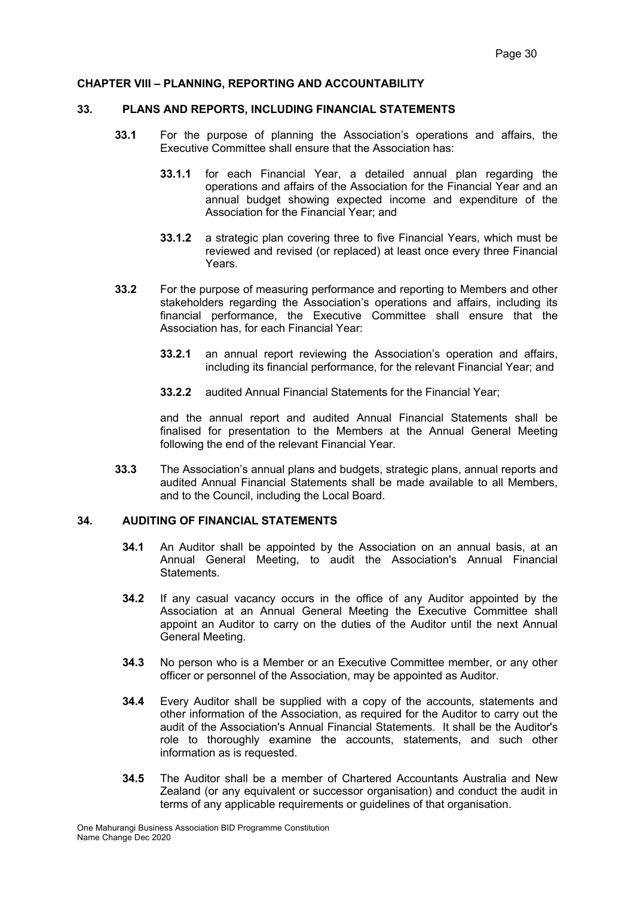#### **CHAPTER VIII – PLANNING, REPORTING AND ACCOUNTABILITY**

#### **33. PLANS AND REPORTS, INCLUDING FINANCIAL STATEMENTS**

- **33.1** For the purpose of planning the Association's operations and affairs, the Executive Committee shall ensure that the Association has:
	- **33.1.1** for each Financial Year, a detailed annual plan regarding the operations and affairs of the Association for the Financial Year and an annual budget showing expected income and expenditure of the Association for the Financial Year; and
	- **33.1.2** a strategic plan covering three to five Financial Years, which must be reviewed and revised (or replaced) at least once every three Financial Years.
- **33.2** For the purpose of measuring performance and reporting to Members and other stakeholders regarding the Association's operations and affairs, including its financial performance, the Executive Committee shall ensure that the Association has, for each Financial Year:
	- **33.2.1** an annual report reviewing the Association's operation and affairs, including its financial performance, for the relevant Financial Year; and
	- **33.2.2** audited Annual Financial Statements for the Financial Year;

and the annual report and audited Annual Financial Statements shall be finalised for presentation to the Members at the Annual General Meeting following the end of the relevant Financial Year.

**33.3** The Association's annual plans and budgets, strategic plans, annual reports and audited Annual Financial Statements shall be made available to all Members, and to the Council, including the Local Board.

## **34. AUDITING OF FINANCIAL STATEMENTS**

- **34.1** An Auditor shall be appointed by the Association on an annual basis, at an Annual General Meeting, to audit the Association's Annual Financial Statements.
- **34.2** If any casual vacancy occurs in the office of any Auditor appointed by the Association at an Annual General Meeting the Executive Committee shall appoint an Auditor to carry on the duties of the Auditor until the next Annual General Meeting.
- **34.3** No person who is a Member or an Executive Committee member, or any other officer or personnel of the Association, may be appointed as Auditor.
- **34.4** Every Auditor shall be supplied with a copy of the accounts, statements and other information of the Association, as required for the Auditor to carry out the audit of the Association's Annual Financial Statements. It shall be the Auditor's role to thoroughly examine the accounts, statements, and such other information as is requested.
- **34.5** The Auditor shall be a member of Chartered Accountants Australia and New Zealand (or any equivalent or successor organisation) and conduct the audit in terms of any applicable requirements or guidelines of that organisation.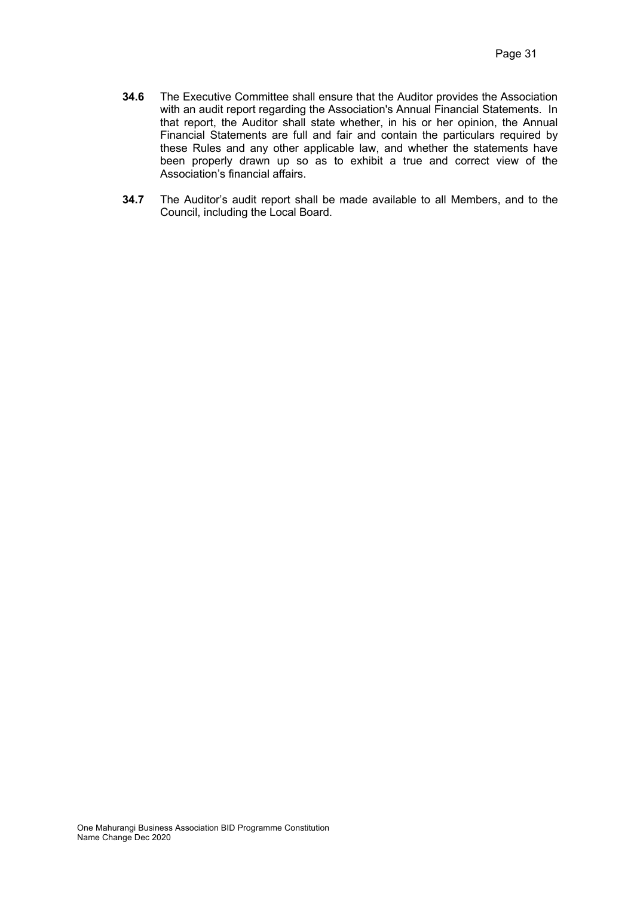- **34.6** The Executive Committee shall ensure that the Auditor provides the Association with an audit report regarding the Association's Annual Financial Statements. In that report, the Auditor shall state whether, in his or her opinion, the Annual Financial Statements are full and fair and contain the particulars required by these Rules and any other applicable law, and whether the statements have been properly drawn up so as to exhibit a true and correct view of the Association's financial affairs.
- **34.7** The Auditor's audit report shall be made available to all Members, and to the Council, including the Local Board.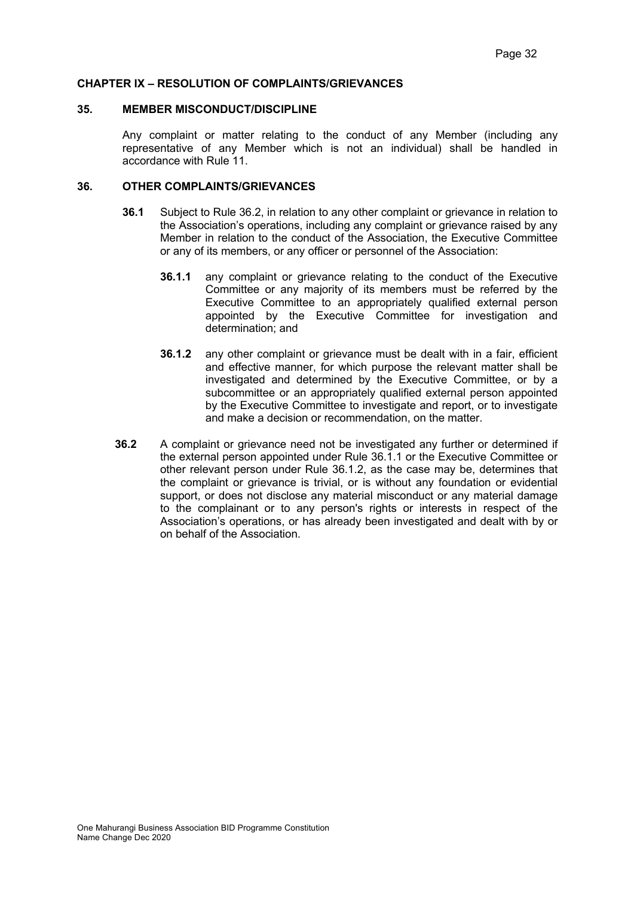#### **CHAPTER IX – RESOLUTION OF COMPLAINTS/GRIEVANCES**

#### **35. MEMBER MISCONDUCT/DISCIPLINE**

Any complaint or matter relating to the conduct of any Member (including any representative of any Member which is not an individual) shall be handled in accordance with Rule 11.

#### **36. OTHER COMPLAINTS/GRIEVANCES**

- **36.1** Subject to Rule 36.2, in relation to any other complaint or grievance in relation to the Association's operations, including any complaint or grievance raised by any Member in relation to the conduct of the Association, the Executive Committee or any of its members, or any officer or personnel of the Association:
	- **36.1.1** any complaint or grievance relating to the conduct of the Executive Committee or any majority of its members must be referred by the Executive Committee to an appropriately qualified external person appointed by the Executive Committee for investigation and determination; and
	- **36.1.2** any other complaint or grievance must be dealt with in a fair, efficient and effective manner, for which purpose the relevant matter shall be investigated and determined by the Executive Committee, or by a subcommittee or an appropriately qualified external person appointed by the Executive Committee to investigate and report, or to investigate and make a decision or recommendation, on the matter.
- **36.2** A complaint or grievance need not be investigated any further or determined if the external person appointed under Rule 36.1.1 or the Executive Committee or other relevant person under Rule 36.1.2, as the case may be, determines that the complaint or grievance is trivial, or is without any foundation or evidential support, or does not disclose any material misconduct or any material damage to the complainant or to any person's rights or interests in respect of the Association's operations, or has already been investigated and dealt with by or on behalf of the Association.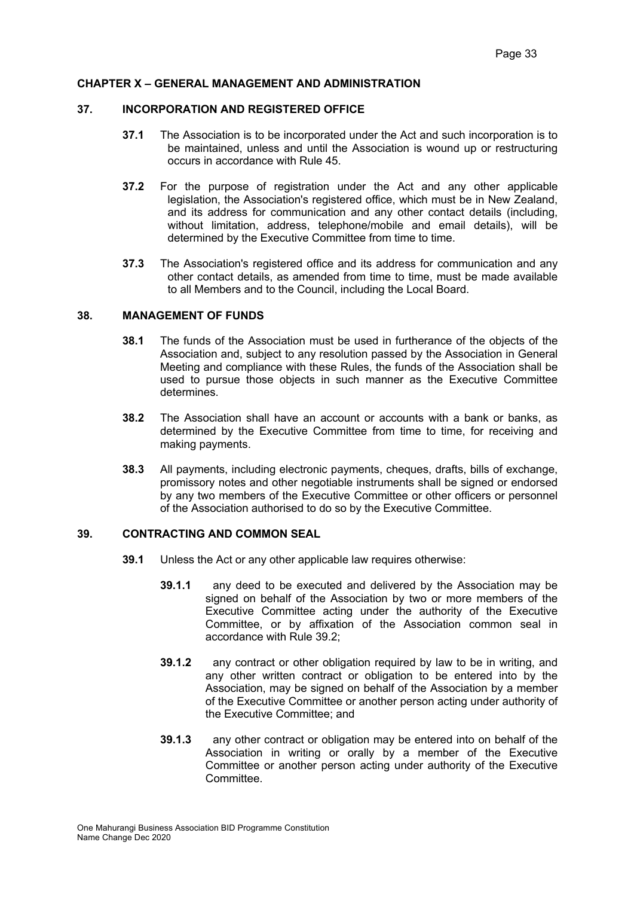### **CHAPTER X – GENERAL MANAGEMENT AND ADMINISTRATION**

#### **37. INCORPORATION AND REGISTERED OFFICE**

- **37.1** The Association is to be incorporated under the Act and such incorporation is to be maintained, unless and until the Association is wound up or restructuring occurs in accordance with Rule 45.
- **37.2** For the purpose of registration under the Act and any other applicable legislation, the Association's registered office, which must be in New Zealand, and its address for communication and any other contact details (including, without limitation, address, telephone/mobile and email details), will be determined by the Executive Committee from time to time.
- **37.3** The Association's registered office and its address for communication and any other contact details, as amended from time to time, must be made available to all Members and to the Council, including the Local Board.

#### **38. MANAGEMENT OF FUNDS**

- **38.1** The funds of the Association must be used in furtherance of the objects of the Association and, subject to any resolution passed by the Association in General Meeting and compliance with these Rules, the funds of the Association shall be used to pursue those objects in such manner as the Executive Committee determines.
- **38.2** The Association shall have an account or accounts with a bank or banks, as determined by the Executive Committee from time to time, for receiving and making payments.
- **38.3** All payments, including electronic payments, cheques, drafts, bills of exchange, promissory notes and other negotiable instruments shall be signed or endorsed by any two members of the Executive Committee or other officers or personnel of the Association authorised to do so by the Executive Committee.

## **39. CONTRACTING AND COMMON SEAL**

- **39.1** Unless the Act or any other applicable law requires otherwise:
	- **39.1.1** any deed to be executed and delivered by the Association may be signed on behalf of the Association by two or more members of the Executive Committee acting under the authority of the Executive Committee, or by affixation of the Association common seal in accordance with Rule 39.2;
	- **39.1.2** any contract or other obligation required by law to be in writing, and any other written contract or obligation to be entered into by the Association, may be signed on behalf of the Association by a member of the Executive Committee or another person acting under authority of the Executive Committee; and
	- **39.1.3** any other contract or obligation may be entered into on behalf of the Association in writing or orally by a member of the Executive Committee or another person acting under authority of the Executive **Committee.**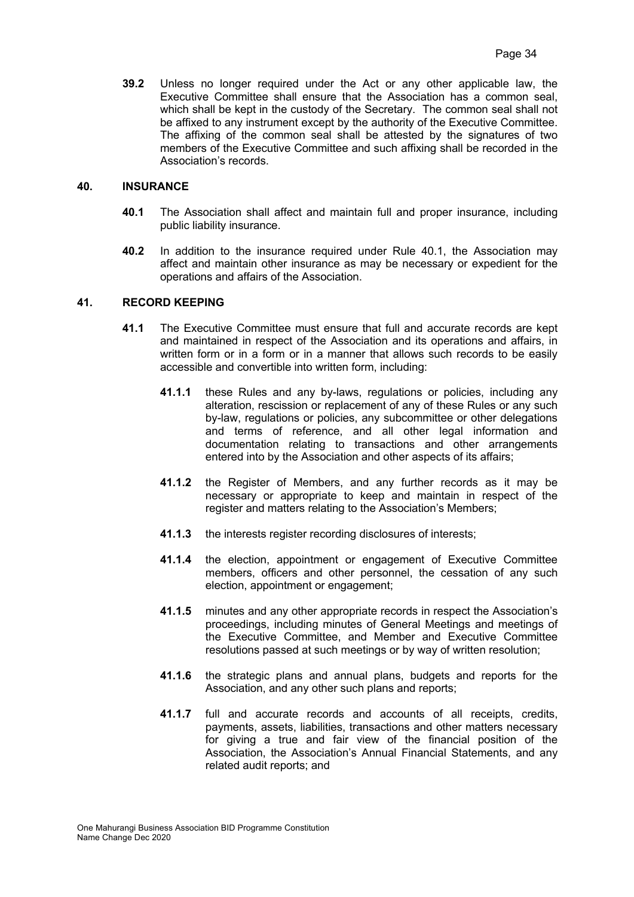**39.2** Unless no longer required under the Act or any other applicable law, the Executive Committee shall ensure that the Association has a common seal, which shall be kept in the custody of the Secretary. The common seal shall not be affixed to any instrument except by the authority of the Executive Committee. The affixing of the common seal shall be attested by the signatures of two members of the Executive Committee and such affixing shall be recorded in the Association's records.

### **40. INSURANCE**

- **40.1** The Association shall affect and maintain full and proper insurance, including public liability insurance.
- **40.2** In addition to the insurance required under Rule 40.1, the Association may affect and maintain other insurance as may be necessary or expedient for the operations and affairs of the Association.

#### **41. RECORD KEEPING**

- **41.1** The Executive Committee must ensure that full and accurate records are kept and maintained in respect of the Association and its operations and affairs, in written form or in a form or in a manner that allows such records to be easily accessible and convertible into written form, including:
	- **41.1.1** these Rules and any by-laws, regulations or policies, including any alteration, rescission or replacement of any of these Rules or any such by-law, regulations or policies, any subcommittee or other delegations and terms of reference, and all other legal information and documentation relating to transactions and other arrangements entered into by the Association and other aspects of its affairs;
	- **41.1.2** the Register of Members, and any further records as it may be necessary or appropriate to keep and maintain in respect of the register and matters relating to the Association's Members;
	- **41.1.3** the interests register recording disclosures of interests;
	- **41.1.4** the election, appointment or engagement of Executive Committee members, officers and other personnel, the cessation of any such election, appointment or engagement;
	- **41.1.5** minutes and any other appropriate records in respect the Association's proceedings, including minutes of General Meetings and meetings of the Executive Committee, and Member and Executive Committee resolutions passed at such meetings or by way of written resolution;
	- **41.1.6** the strategic plans and annual plans, budgets and reports for the Association, and any other such plans and reports;
	- **41.1.7** full and accurate records and accounts of all receipts, credits, payments, assets, liabilities, transactions and other matters necessary for giving a true and fair view of the financial position of the Association, the Association's Annual Financial Statements, and any related audit reports; and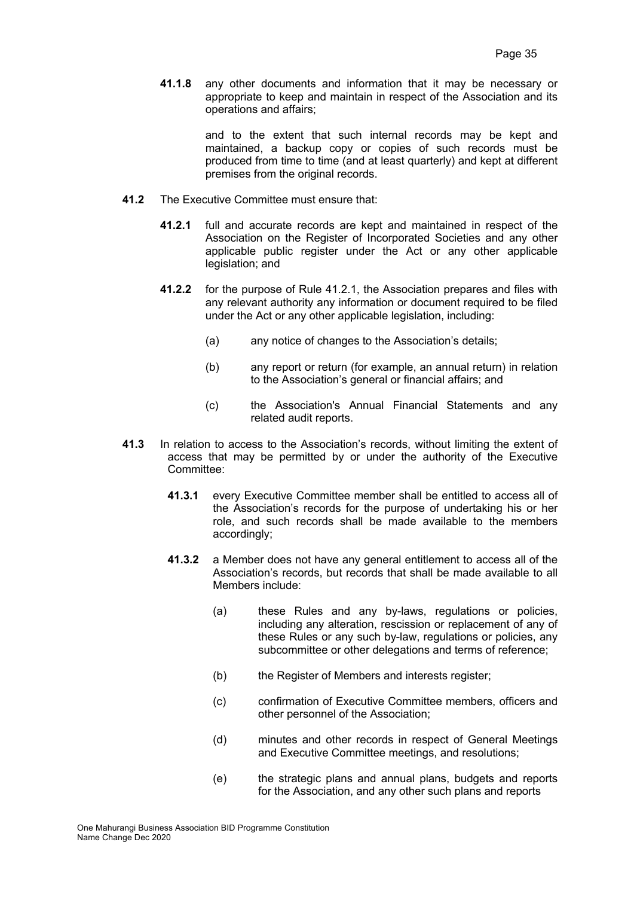**41.1.8** any other documents and information that it may be necessary or appropriate to keep and maintain in respect of the Association and its operations and affairs;

> and to the extent that such internal records may be kept and maintained, a backup copy or copies of such records must be produced from time to time (and at least quarterly) and kept at different premises from the original records.

- **41.2** The Executive Committee must ensure that:
	- **41.2.1** full and accurate records are kept and maintained in respect of the Association on the Register of Incorporated Societies and any other applicable public register under the Act or any other applicable legislation; and
	- **41.2.2** for the purpose of Rule 41.2.1, the Association prepares and files with any relevant authority any information or document required to be filed under the Act or any other applicable legislation, including:
		- (a) any notice of changes to the Association's details;
		- (b) any report or return (for example, an annual return) in relation to the Association's general or financial affairs; and
		- (c) the Association's Annual Financial Statements and any related audit reports.
- **41.3** In relation to access to the Association's records, without limiting the extent of access that may be permitted by or under the authority of the Executive Committee:
	- **41.3.1** every Executive Committee member shall be entitled to access all of the Association's records for the purpose of undertaking his or her role, and such records shall be made available to the members accordingly;
	- **41.3.2** a Member does not have any general entitlement to access all of the Association's records, but records that shall be made available to all Members include:
		- (a) these Rules and any by-laws, regulations or policies, including any alteration, rescission or replacement of any of these Rules or any such by-law, regulations or policies, any subcommittee or other delegations and terms of reference;
		- (b) the Register of Members and interests register;
		- (c) confirmation of Executive Committee members, officers and other personnel of the Association;
		- (d) minutes and other records in respect of General Meetings and Executive Committee meetings, and resolutions;
		- (e) the strategic plans and annual plans, budgets and reports for the Association, and any other such plans and reports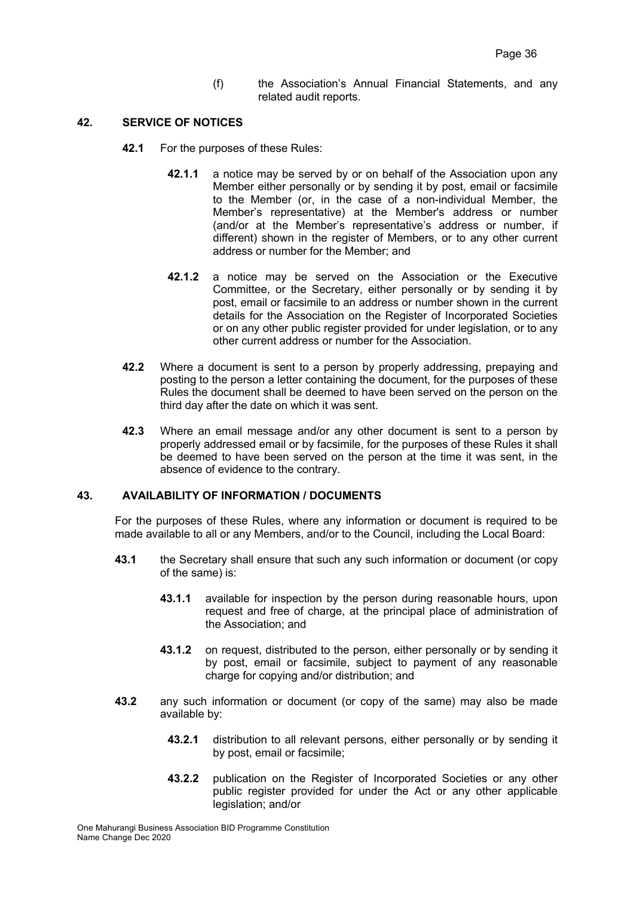(f) the Association's Annual Financial Statements, and any related audit reports.

### **42. SERVICE OF NOTICES**

- **42.1** For the purposes of these Rules:
	- **42.1.1** a notice may be served by or on behalf of the Association upon any Member either personally or by sending it by post, email or facsimile to the Member (or, in the case of a non-individual Member, the Member's representative) at the Member's address or number (and/or at the Member's representative's address or number, if different) shown in the register of Members, or to any other current address or number for the Member; and
	- **42.1.2** a notice may be served on the Association or the Executive Committee, or the Secretary, either personally or by sending it by post, email or facsimile to an address or number shown in the current details for the Association on the Register of Incorporated Societies or on any other public register provided for under legislation, or to any other current address or number for the Association.
- **42.2** Where a document is sent to a person by properly addressing, prepaying and posting to the person a letter containing the document, for the purposes of these Rules the document shall be deemed to have been served on the person on the third day after the date on which it was sent.
- **42.3** Where an email message and/or any other document is sent to a person by properly addressed email or by facsimile, for the purposes of these Rules it shall be deemed to have been served on the person at the time it was sent, in the absence of evidence to the contrary.

# **43. AVAILABILITY OF INFORMATION / DOCUMENTS**

For the purposes of these Rules, where any information or document is required to be made available to all or any Members, and/or to the Council, including the Local Board:

- **43.1** the Secretary shall ensure that such any such information or document (or copy of the same) is:
	- **43.1.1** available for inspection by the person during reasonable hours, upon request and free of charge, at the principal place of administration of the Association; and
	- **43.1.2** on request, distributed to the person, either personally or by sending it by post, email or facsimile, subject to payment of any reasonable charge for copying and/or distribution; and
- **43.2** any such information or document (or copy of the same) may also be made available by:
	- **43.2.1** distribution to all relevant persons, either personally or by sending it by post, email or facsimile;
	- **43.2.2** publication on the Register of Incorporated Societies or any other public register provided for under the Act or any other applicable legislation; and/or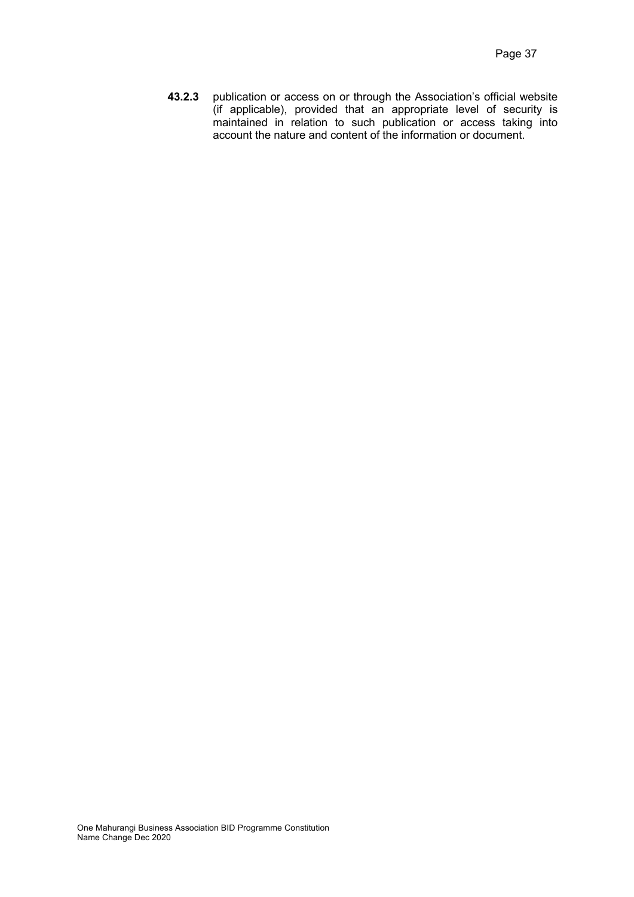**43.2.3** publication or access on or through the Association's official website (if applicable), provided that an appropriate level of security is maintained in relation to such publication or access taking into account the nature and content of the information or document.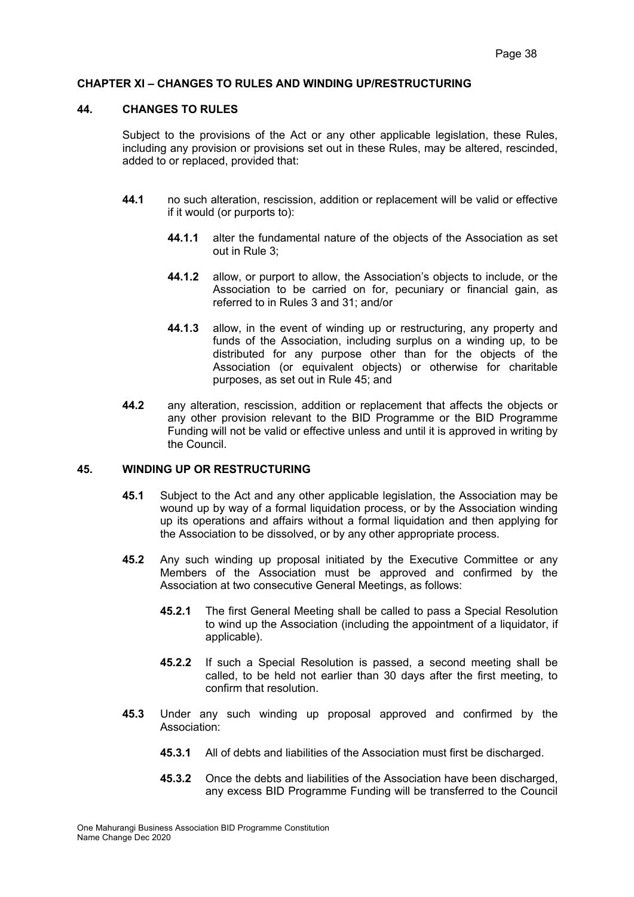#### **CHAPTER XI – CHANGES TO RULES AND WINDING UP/RESTRUCTURING**

#### **44. CHANGES TO RULES**

Subject to the provisions of the Act or any other applicable legislation, these Rules, including any provision or provisions set out in these Rules, may be altered, rescinded, added to or replaced, provided that:

- **44.1** no such alteration, rescission, addition or replacement will be valid or effective if it would (or purports to):
	- **44.1.1** alter the fundamental nature of the objects of the Association as set out in Rule 3;
	- **44.1.2** allow, or purport to allow, the Association's objects to include, or the Association to be carried on for, pecuniary or financial gain, as referred to in Rules 3 and 31; and/or
	- **44.1.3** allow, in the event of winding up or restructuring, any property and funds of the Association, including surplus on a winding up, to be distributed for any purpose other than for the objects of the Association (or equivalent objects) or otherwise for charitable purposes, as set out in Rule 45; and
- **44.2** any alteration, rescission, addition or replacement that affects the objects or any other provision relevant to the BID Programme or the BID Programme Funding will not be valid or effective unless and until it is approved in writing by the Council.

#### **45. WINDING UP OR RESTRUCTURING**

- **45.1** Subject to the Act and any other applicable legislation, the Association may be wound up by way of a formal liquidation process, or by the Association winding up its operations and affairs without a formal liquidation and then applying for the Association to be dissolved, or by any other appropriate process.
- **45.2** Any such winding up proposal initiated by the Executive Committee or any Members of the Association must be approved and confirmed by the Association at two consecutive General Meetings, as follows:
	- **45.2.1** The first General Meeting shall be called to pass a Special Resolution to wind up the Association (including the appointment of a liquidator, if applicable).
	- **45.2.2** If such a Special Resolution is passed, a second meeting shall be called, to be held not earlier than 30 days after the first meeting, to confirm that resolution.
- **45.3** Under any such winding up proposal approved and confirmed by the Association:
	- **45.3.1** All of debts and liabilities of the Association must first be discharged.
	- **45.3.2** Once the debts and liabilities of the Association have been discharged, any excess BID Programme Funding will be transferred to the Council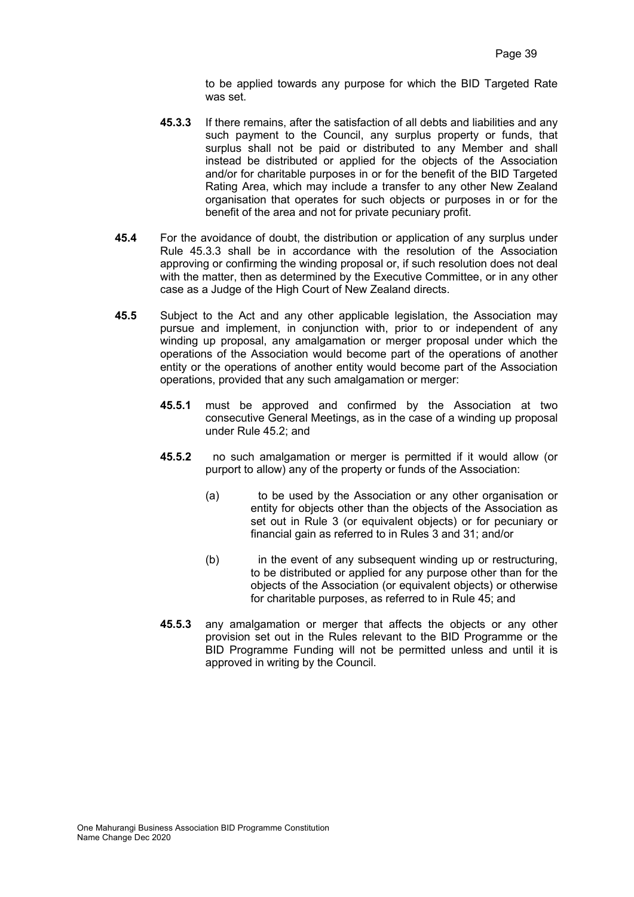to be applied towards any purpose for which the BID Targeted Rate was set.

- **45.3.3** If there remains, after the satisfaction of all debts and liabilities and any such payment to the Council, any surplus property or funds, that surplus shall not be paid or distributed to any Member and shall instead be distributed or applied for the objects of the Association and/or for charitable purposes in or for the benefit of the BID Targeted Rating Area, which may include a transfer to any other New Zealand organisation that operates for such objects or purposes in or for the benefit of the area and not for private pecuniary profit.
- **45.4** For the avoidance of doubt, the distribution or application of any surplus under Rule 45.3.3 shall be in accordance with the resolution of the Association approving or confirming the winding proposal or, if such resolution does not deal with the matter, then as determined by the Executive Committee, or in any other case as a Judge of the High Court of New Zealand directs.
- **45.5** Subject to the Act and any other applicable legislation, the Association may pursue and implement, in conjunction with, prior to or independent of any winding up proposal, any amalgamation or merger proposal under which the operations of the Association would become part of the operations of another entity or the operations of another entity would become part of the Association operations, provided that any such amalgamation or merger:
	- **45.5.1** must be approved and confirmed by the Association at two consecutive General Meetings, as in the case of a winding up proposal under Rule 45.2; and
	- **45.5.2** no such amalgamation or merger is permitted if it would allow (or purport to allow) any of the property or funds of the Association:
		- (a) to be used by the Association or any other organisation or entity for objects other than the objects of the Association as set out in Rule 3 (or equivalent objects) or for pecuniary or financial gain as referred to in Rules 3 and 31; and/or
		- (b) in the event of any subsequent winding up or restructuring, to be distributed or applied for any purpose other than for the objects of the Association (or equivalent objects) or otherwise for charitable purposes, as referred to in Rule 45; and
	- **45.5.3** any amalgamation or merger that affects the objects or any other provision set out in the Rules relevant to the BID Programme or the BID Programme Funding will not be permitted unless and until it is approved in writing by the Council.